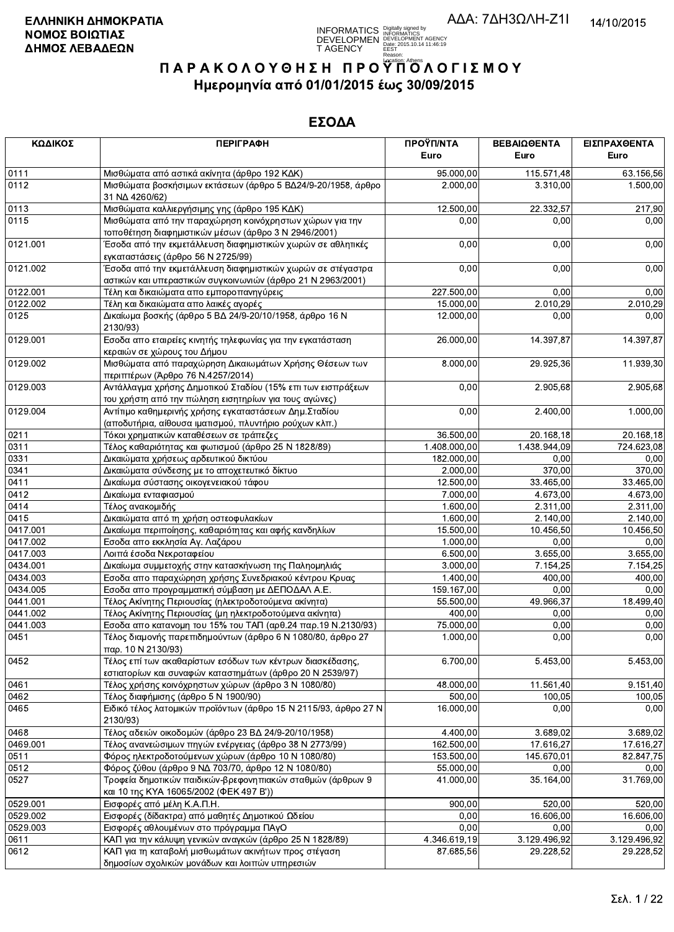INFORMATICS Digitally signed by<br>DEVELOPMEN DEVELOPMENT AGENCY<br>T AGENCY DESE, 2015.10.14 11:46:19<br>Essay, 2020

# ΠΑΡΑΚΟΛΟΥΘΗΣΗ ΠΡΟΥΠΌΛΟΓΙΣΜΟΥ Ημερομηνία από 01/01/2015 έως 30/09/2015

| ΚΩΔΙΚΟΣ          | <b>ПЕРІГРАФН</b>                                                                                                                                  | ΠΡΟΫΠ/ΝΤΑ<br>Euro   | ΒΕΒΑΙΩΘΕΝΤΑ<br>Euro | ΕΙΣΠΡΑΧΘΕΝΤΑ<br>Euro |
|------------------|---------------------------------------------------------------------------------------------------------------------------------------------------|---------------------|---------------------|----------------------|
| 0111             | Μισθώματα από αστικά ακίνητα (άρθρο 192 ΚΔΚ)                                                                                                      | 95.000,00           | 115.571,48          | 63.156,56            |
| 0112             | Μισθώματα βοσκήσιμων εκτάσεων (άρθρο 5 ΒΔ24/9-20/1958, άρθρο<br>31 NA 4260/62)                                                                    | 2.000,00            | 3.310,00            | 1.500,00             |
| 0113             | Μισθώματα καλλιεργήσιμης γης (άρθρο 195 ΚΔΚ)                                                                                                      | 12.500,00           | 22.332,57           | 217,90               |
| 0115             | Μισθώματα από την παραχώρηση κοινόχρηστων χώρων για την<br>τοποθέτηση διαφημιστικών μέσων (άρθρο 3 Ν 2946/2001)                                   | 0,00                | 0,00                | 0,00                 |
| 0121.001         | Έσοδα από την εκμετάλλευση διαφημιστικών χωρών σε αθλητικές<br>εγκαταστάσεις (άρθρο 56 Ν 2725/99)                                                 | 0,00                | 0,00                | 0,00                 |
| 0121.002         | Έσοδα από την εκμετάλλευση διαφημιστικών χωρών σε στέγαστρα<br>αστικών και υπεραστικών συγκοινωνιών (άρθρο 21 Ν 2963/2001)                        | 0,00                | 0,00                | 0,00                 |
| 0122.001         | Τέλη και δικαιώματα απο εμποροπανηγύρεις                                                                                                          | 227.500,00          | 0,00                | 0,00                 |
| 0122.002         | Τέλη και δικαιώματα απο λαικές αγορές                                                                                                             | 15.000,00           | 2.010,29            | 2.010,29             |
| 0125             | Δικαίωμα βοσκής (άρθρο 5 ΒΔ 24/9-20/10/1958, άρθρο 16 Ν<br>2130/93)                                                                               | 12.000,00           | 0,00                | 0,00                 |
| 0129.001         | Εσοδα απο εταιρείες κινητής τηλεφωνίας για την εγκατάσταση<br>κεραιών σε χώρους του Δήμου                                                         | 26.000,00           | 14.397,87           | 14.397,87            |
| 0129.002         | Μισθώματα από παραχώρηση Δικαιωμάτων Χρήσης Θέσεων των<br>περιπτέρων (Άρθρο 76 Ν.4257/2014)                                                       | 8.000,00            | 29.925,36           | 11.939,30            |
| 0129.003         | Αντάλλαγμα χρήσης Δημοτικού Σταδίου (15% επι των εισπράξεων<br>του χρήστη από την πώληση εισητηρίων για τους αγώνες)                              | 0,00                | 2.905,68            | 2.905,68             |
| 0129.004         | Αντίτιμο καθημερινής χρήσης εγκαταστάσεων Δημ. Σταδίου<br>(αποδυτήρια, αίθουσα ιματισμού, πλυντήριο ρούχων κλπ.)                                  | 0,00                | 2.400,00            | 1.000,00             |
| 0211             | Τόκοι χρηματικών καταθέσεων σε τράπεζες                                                                                                           | 36.500,00           | 20.168,18           | 20.168,18            |
| 0311             | Τέλος καθαριότητας και φωτισμού (άρθρο 25 Ν 1828/89)                                                                                              | 1.408.000,00        | 1.438.944,09        | 724.623,08           |
| 0331             | Δικαιώματα χρήσεως αρδευτικού δικτύου                                                                                                             | 182.000,00          | 0,00                | 0,00                 |
| 0341             | Δικαιώματα σύνδεσης με το αποχετευτικό δίκτυο                                                                                                     | 2.000,00            | 370,00              | 370,00               |
| 0411             | Δικαίωμα σύστασης οικογενειακού τάφου                                                                                                             | 12.500,00           | 33.465,00           | 33.465,00            |
| 0412             | Δικαίωμα ενταφιασμού                                                                                                                              | 7.000,00            | 4.673,00            | 4.673,00             |
| 0414             | Τέλος ανακομιδής                                                                                                                                  | 1.600,00            | 2.311,00            | 2.311,00             |
| 0415             | Δικαιώματα από τη χρήση οστεοφυλακίων                                                                                                             | 1.600,00            | 2.140,00            | 2.140,00             |
| 0417.001         | Δικαίωμα περιποίησης, καθαριότητας και αφής κανδηλίων                                                                                             | 15.500,00           | 10.456,50           | 10.456,50            |
| 0417.002         | Εσοδα απο εκκλησία Αγ. Λαζάρου                                                                                                                    | 1.000,00            | 0,00                | 0,00                 |
| 0417.003         | Λοιπά έσοδα Νεκροταφείου                                                                                                                          | 6.500,00            | 3.655,00            | 3.655,00             |
| 0434.001         | Δικαίωμα συμμετοχής στην κατασκήνωση της Παληομηλιάς                                                                                              | 3.000,00            | 7.154,25            | 7.154,25             |
| 0434.003         | Εσοδα απο παραχώρηση χρήσης Συνεδριακού κέντρου Κρυας                                                                                             | 1.400,00            | 400,00              | 400,00               |
| 0434.005         | Εσοδα απο προγραμματική σύμβαση με ΔΕΠΟΔΑΛ Α.Ε.                                                                                                   | 159.167,00          | 0,00                | 0,00                 |
| 0441.001         | Τέλος Ακίνητης Περιουσίας (ηλεκτροδοτούμενα ακίνητα)                                                                                              | 55.500,00           | 49.966,37           | 18.499,40            |
| 0441.002         | Τέλος Ακίνητης Περιουσίας (μη ηλεκτροδοτούμενα ακίνητα)                                                                                           | 400,00<br>75.000,00 | 0,00<br>0,00        | 0,00                 |
| 0441.003<br>0451 | Εσοδα απο κατανομη του 15% του ΤΑΠ (αρθ.24 παρ.19 Ν.2130/93)<br>Τέλος διαμονής παρεπιδημούντων (άρθρο 6 Ν 1080/80, άρθρο 27<br>παρ. 10 Ν 2130/93) | 1.000,00            | 0,00                | 0,00<br>0,00         |
| 0452             | Τέλος επί των ακαθαρίστων εσόδων των κέντρων διασκέδασης,<br>εστιατορίων και συναφών καταστημάτων (άρθρο 20 Ν 2539/97)                            | 6.700,00            | 5.453,00            | 5.453,00             |
| 0461             | Τέλος χρήσης κοινόχρηστων χώρων (άρθρο 3 Ν 1080/80)                                                                                               | 48.000,00           | 11.561,40           | 9.151,40             |
| 0462             | Τέλος διαφήμισης (άρθρο 5 Ν 1900/90)                                                                                                              | 500,00              | 100,05              | 100,05               |
| 0465             | Ειδικό τέλος λατομικών προϊόντων (άρθρο 15 Ν 2115/93, άρθρο 27 Ν<br>2130/93)                                                                      | 16.000,00           | 0,00                | 0,00                 |
| 0468             | Τέλος αδειών οικοδομών (άρθρο 23 ΒΔ 24/9-20/10/1958)                                                                                              | 4.400,00            | 3.689,02            | 3.689,02             |
| 0469.001         | Τέλος ανανεώσιμων πηγών ενέργειας (άρθρο 38 Ν 2773/99)                                                                                            | 162.500,00          | 17.616,27           | 17.616,27            |
| 0511             | Φόρος ηλεκτροδοτούμενων χώρων (άρθρο 10 Ν 1080/80)                                                                                                | 153.500,00          | 145.670,01          | 82.847,75            |
| 0512             | Φόρος ζύθου (άρθρο 9 ΝΔ 703/70, άρθρο 12 Ν 1080/80)                                                                                               | 55.000,00           | 0,00                | 0,00                 |
| 0527             | Τροφεία δημοτικών παιδικών-βρεφονηπιακών σταθμών (άρθρων 9<br>και 10 της ΚΥΑ 16065/2002 (ΦΕΚ 497 Β'))                                             | 41.000.00           | 35.164,00           | 31.769,00            |
| 0529.001         | Εισφορές από μέλη Κ.Α.Π.Η.                                                                                                                        | 900,00              | 520,00              | 520,00               |
| 0529.002         | Εισφορές (δίδακτρα) από μαθητές Δημοτικού Ωδείου                                                                                                  | 0,00                | 16.606,00           | 16.606,00            |
| 0529.003         | Εισφορές αθλουμένων στο πρόγραμμα ΠΑγΟ                                                                                                            | 0,00                | 0.00                | 0,00                 |
| 0611             | ΚΑΠ για την κάλυψη γενικών αναγκών (άρθρο 25 Ν 1828/89)                                                                                           | 4.346.619,19        | 3.129.496,92        | 3.129.496,92         |
| 0612             | ΚΑΠ για τη καταβολή μισθωμάτων ακινήτων προς στέγαση                                                                                              | 87.685,56           | 29.228,52           | 29.228,52            |
|                  | δημοσίων σχολικών μονάδων και λοιπών υπηρεσιών                                                                                                    |                     |                     |                      |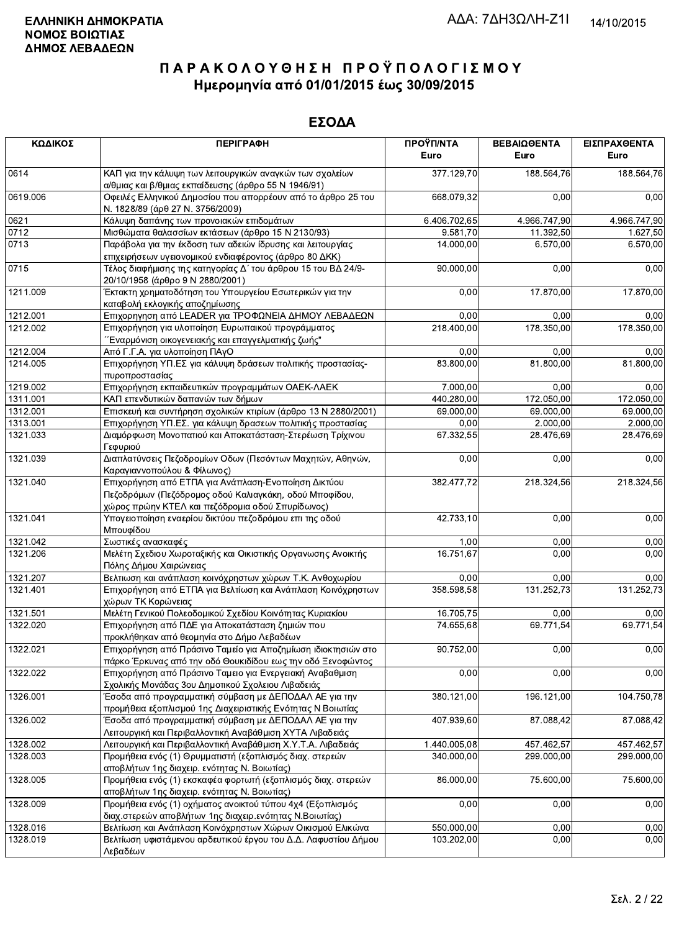| ΚΩΔΙΚΟΣ  | <b>ПЕРІГРАФН</b>                                                                                                                                                  | ΠΡΟΫΠ/ΝΤΑ<br>Euro | ΒΕΒΑΙΩΘΕΝΤΑ<br>Euro | ΕΙΣΠΡΑΧΘΕΝΤΑ<br>Euro |
|----------|-------------------------------------------------------------------------------------------------------------------------------------------------------------------|-------------------|---------------------|----------------------|
| 0614     | ΚΑΠ για την κάλυψη των λειτουργικών αναγκών των σχολείων<br>α/θμιας και β/θμιας εκπαίδευσης (άρθρο 55 Ν 1946/91)                                                  | 377.129,70        | 188.564,76          | 188.564,76           |
| 0619.006 | Οφειλές Ελληνικού Δημοσίου που απορρέουν από το άρθρο 25 του<br>Ν. 1828/89 (άρθ 27 Ν. 3756/2009)                                                                  | 668.079,32        | 0,00                | 0,00                 |
| 0621     | Κάλυψη δαπάνης των προνοιακών επιδομάτων                                                                                                                          | 6.406.702,65      | 4.966.747,90        | 4.966.747,90         |
| 0712     | Μισθώματα θαλασσίων εκτάσεων (άρθρο 15 Ν 2130/93)                                                                                                                 | 9.581,70          | 11.392,50           | 1.627,50             |
| 0713     | Παράβολα για την έκδοση των αδειών ίδρυσης και λειτουργίας<br>επιχειρήσεων υγειονομικού ενδιαφέροντος (άρθρο 80 ΔΚΚ)                                              | 14.000,00         | 6.570,00            | 6.570,00             |
| 0715     | Τέλος διαφήμισης της κατηγορίας Δ΄ του άρθρου 15 του ΒΔ 24/9-<br>20/10/1958 (άρθρο 9 Ν 2880/2001)                                                                 | 90.000,00         | 0,00                | 0,00                 |
| 1211.009 | Έκτακτη χρηματοδότηση του Υπουργείου Εσωτερικών για την<br>καταβολή εκλογικής αποζημίωσης                                                                         | 0,00              | 17.870,00           | 17.870,00            |
| 1212.001 | Επιχορηγηση από LEADER για ΤΡΟΦΩΝΕΙΑ ΔΗΜΟΥ ΛΕΒΑΔΕΩΝ                                                                                                               | 0,00              | 0,00                | 0,00                 |
| 1212.002 | Επιχορήγηση για υλοποίηση Ευρωπαικού προγράμματος<br>Έναρμόνιση οικογενειακής και επαγγελματικής ζωής"                                                            | 218.400,00        | 178.350,00          | 178.350,00           |
| 1212.004 | Από Γ.Γ.Α. για υλοποίηση ΠΑγΟ                                                                                                                                     | 0,00              | 0,00                | 0,00                 |
| 1214.005 | Επιχορήγηση ΥΠ.ΕΣ για κάλυψη δράσεων πολιτικής προστασίας-<br>πυροπροστασίας                                                                                      | 83.800,00         | 81.800,00           | 81.800,00            |
| 1219.002 | Επιχορήγηση εκπαιδευτικών προγραμμάτων ΟΑΕΚ-ΛΑΕΚ                                                                                                                  | 7.000,00          | 0,00                | 0,00                 |
| 1311.001 | ΚΑΠ επενδυτικών δαπανών των δήμων                                                                                                                                 | 440.280,00        | 172.050,00          | 172.050,00           |
| 1312.001 | Επισκευή και συντήρηση σχολικών κτιρίων (άρθρο 13 Ν 2880/2001)                                                                                                    | 69.000,00         | 69.000,00           | 69.000,00            |
| 1313.001 | Επιχορήγηση ΥΠ.ΕΣ. για κάλυψη δρασεων πολιτικής προστασίας                                                                                                        | 0,00              | 2.000,00            | 2.000,00             |
| 1321.033 | Διαμόρφωση Μονοπατιού και Αποκατάσταση-Στερέωση Τρίχινου<br>Γεφυριού                                                                                              | 67.332,55         | 28.476,69           | 28.476,69            |
| 1321.039 | Διαπλατύνσεις Πεζοδρομίων Οδων (Πεσόντων Μαχητών, Αθηνών,<br>Καραγιαννοπούλου & Φίλωνος)                                                                          | 0,00              | 0,00                | 0,00                 |
| 1321.040 | Επιχορήγηση από ΕΤΠΑ για Ανάπλαση-Ενοποίηση Δικτύου<br>Πεζοδρόμων (Πεζόδρομος οδού Καλιαγκάκη, οδού Μποφίδου,<br>χώρος πρώην ΚΤΕΛ και πεζόδρομια οδού Σπυρίδωνος) | 382.477,72        | 218.324,56          | 218.324,56           |
| 1321.041 | Υπογειοποίηση εναερίου δικτύου πεζοδρόμου επι της οδού<br>Μπουφίδου                                                                                               | 42.733,10         | 0,00                | 0,00                 |
| 1321.042 | Σωστικές ανασκαφές                                                                                                                                                | 1,00              | 0,00                | 0,00                 |
| 1321.206 | Μελέτη Σχεδιου Χωροταξικής και Οικιστικής Οργανωσης Ανοικτής<br>Πόλης Δήμου Χαιρώνειας                                                                            | 16.751,67         | 0,00                | 0,00                 |
| 1321.207 | Βελτιωση και ανάπλαση κοινόχρηστων χώρων Τ.Κ. Ανθοχωρίου                                                                                                          | 0,00              | 0,00                | 0,00                 |
| 1321.401 | Επιχορήγηση από ΕΤΠΑ για Βελτίωση και Ανάπλαση Κοινόχρηστων<br>χώρων ΤΚ Κορώνειας                                                                                 | 358.598,58        | 131.252,73          | 131.252,73           |
| 1321.501 | Μελέτη Γενικού Πολεοδομικού Σχεδίου Κοινότητας Κυριακίου                                                                                                          | 16.705,75         | 0,00                | 0,00                 |
| 1322.020 | Επιχορήγηση από ΠΔΕ για Αποκατάσταση ζημιών που<br>προκλήθηκαν από θεομηνία στο Δήμο Λεβαδέων                                                                     | 74.655,68         | 69.771,54           | 69.771,54            |
| 1322.021 | Επιχορήγηση από Πράσινο Ταμείο για Αποζημίωση ιδιοκτησιών στο<br>πάρκο Έρκυνας από την οδό Θουκιδίδου εως την οδό Ξενοφώντος                                      | 90.752,00         | 0,00                | 0,00                 |
| 1322.022 | Επιχορήγηση από Πράσινο Ταμειο για Ενεργειακή Αναβαθμιση<br>Σχολικής Μονάδας 3ου Δημοτικού Σχολειου Λιβαδειάς                                                     | 0,00              | 0,00                | 0,00                 |
| 1326.001 | Έσοδα από προγραμματική σύμβαση με ΔΕΠΟΔΑΛ ΑΕ για την<br>προμήθεια εξοπλισμού 1ης Διαχειριστικής Ενότητας Ν Βοιωτίας                                              | 380.121,00        | 196.121,00          | 104.750,78           |
| 1326.002 | Έσοδα από προγραμματική σύμβαση με ΔΕΠΟΔΑΛ ΑΕ για την<br>Λειτουργική και Περιβαλλοντική Αναβάθμιση ΧΥΤΑ Λιβαδειάς                                                 | 407.939,60        | 87.088,42           | 87.088,42            |
| 1328.002 | Λειτουργική και Περιβαλλοντική Αναβάθμιση Χ.Υ.Τ.Α. Λιβαδειάς                                                                                                      | 1.440.005,08      | 457.462,57          | 457.462,57           |
| 1328.003 | Προμήθεια ενός (1) Θρυμματιστή (εξοπλισμός διαχ. στερεών<br>αποβλήτων 1ης διαχειρ. ενότητας Ν. Βοιωτίας)                                                          | 340.000,00        | 299.000,00          | 299.000,00           |
| 1328.005 | Προμήθεια ενός (1) εκσκαφέα φορτωτή (εξοπλισμός διαχ. στερεών<br>αποβλήτων 1ης διαχειρ. ενότητας Ν. Βοιωτίας)                                                     | 86.000.00         | 75.600,00           | 75.600,00            |
| 1328.009 | Προμήθεια ενός (1) οχήματος ανοικτού τύπου 4χ4 (Εξοπλισμός<br>διαχ.στερεών αποβλήτων 1ης διαχειρ.ενότητας Ν.Βοιωτίας)                                             | 0,00              | 0,00                | 0,00                 |
| 1328.016 | Βελτίωση και Ανάπλαση Κοινόχρηστων Χώρων Οικισμού Ελικώνα                                                                                                         | 550.000,00        | 0,00                | 0,00                 |
| 1328.019 | Βελτίωση υφιστάμενου αρδευτικού έργου του Δ.Δ. Λαφυστίου Δήμου<br>Λεβαδέων                                                                                        | 103.202,00        | 0,00                | 0,00                 |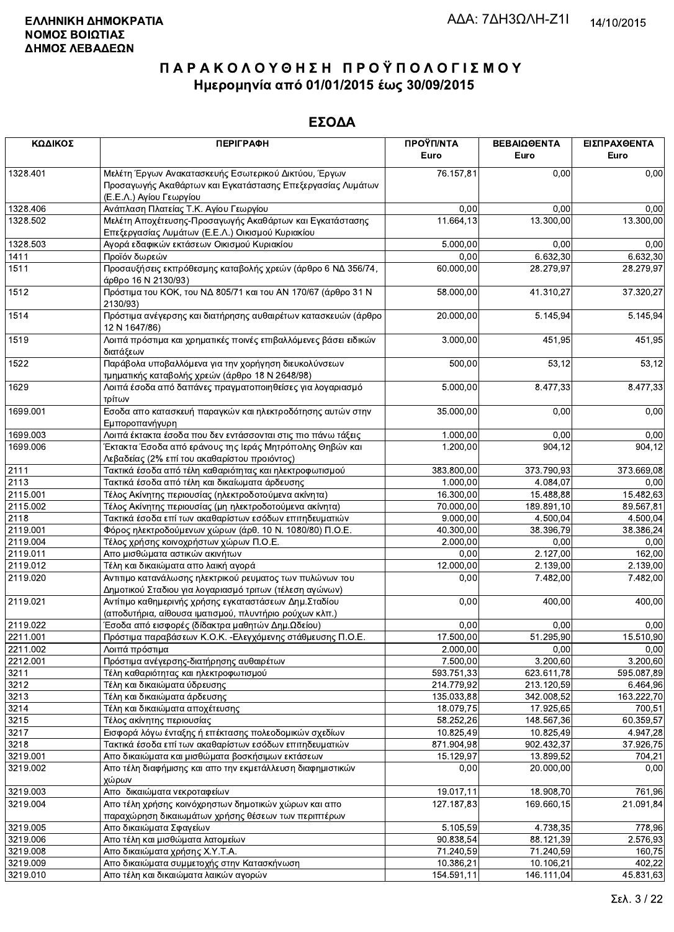| ΚΩΔΙΚΟΣ  | <b>ПЕРІГРАФН</b>                                                                                                                              | ΠΡΟΫΠ/ΝΤΑ<br>Euro      | ΒΕΒΑΙΩΘΕΝΤΑ<br>Euro | ΕΙΣΠΡΑΧΘΕΝΤΑ<br>Euro |
|----------|-----------------------------------------------------------------------------------------------------------------------------------------------|------------------------|---------------------|----------------------|
| 1328.401 | Μελέτη Έργων Ανακατασκευής Εσωτερικού Δικτύου, Έργων<br>Προσαγωγής Ακαθάρτων και Εγκατάστασης Επεξεργασίας Λυμάτων<br>(Ε.Ε.Λ.) Αγίου Γεωργίου | 76.157,81              | 0,00                | 0,00                 |
| 1328.406 | Ανάπλαση Πλατείας Τ.Κ. Αγίου Γεωργίου                                                                                                         | 0,00                   | 0,00                | 0,00                 |
| 1328.502 | Μελέτη Αποχέτευσης-Προσαγωγής Ακαθάρτων και Εγκατάστασης<br>Επεξεργασίας Λυμάτων (Ε.Ε.Λ.) Οικισμού Κυριακίου                                  | 11.664,13              | 13.300,00           | 13.300,00            |
| 1328.503 | Αγορά εδαφικών εκτάσεων Οικισμού Κυριακίου                                                                                                    | 5.000,00               | 0,00                | 0,00                 |
| 1411     | Προϊόν δωρεών                                                                                                                                 | 0,00                   | 6.632,30            | 6.632,30             |
| 1511     | Προσαυξήσεις εκπρόθεσμης καταβολής χρεών (άρθρο 6 ΝΔ 356/74,<br>άρθρο 16 Ν 2130/93)                                                           | 60.000,00              | 28.279,97           | 28.279,97            |
| 1512     | Πρόστιμα του ΚΟΚ, του ΝΔ 805/71 και του ΑΝ 170/67 (άρθρο 31 Ν<br>2130/93)                                                                     | 58.000,00              | 41.310,27           | 37.320,27            |
| 1514     | Πρόστιμα ανέγερσης και διατήρησης αυθαιρέτων κατασκευών (άρθρο<br>12 N 1647/86)                                                               | 20.000,00              | 5.145,94            | 5.145,94             |
| 1519     | Λοιπά πρόστιμα και χρηματικές ποινές επιβαλλόμενες βάσει ειδικών<br>διατάξεων                                                                 | 3.000,00               | 451,95              | 451,95               |
| 1522     | Παράβολα υποβαλλόμενα για την χορήγηση διευκολύνσεων<br>τμηματικής καταβολής χρεών (άρθρο 18 Ν 2648/98)                                       | 500,00                 | 53,12               | 53,12                |
| 1629     | Λοιπά έσοδα από δαπάνες πραγματοποιηθείσες για λογαριασμό<br>τρίτων                                                                           | 5.000,00               | 8.477,33            | 8.477,33             |
| 1699.001 | Εσοδα απο κατασκευή παραγκών και ηλεκτροδότησης αυτών στην<br>Εμποροπανήγυρη                                                                  | 35.000,00              | 0,00                | 0,00                 |
| 1699.003 | Λοιπά έκτακτα έσοδα που δεν εντάσσονται στις πιο πάνω τάξεις                                                                                  | 1.000,00               | 0,00                | 0,00                 |
| 1699.006 | Έκτακτα Έσοδα από εράνους της Ιεράς Μητρόπολης Θηβών και<br>Λεβαδείας (2% επί του ακαθαρίστου προιόντος)                                      | 1.200,00               | 904,12              | 904, 12              |
| 2111     | Τακτικά έσοδα από τέλη καθαριότητας και ηλεκτροφωτισμού                                                                                       | 383.800,00             | 373.790,93          | 373.669,08           |
| 2113     | Τακτικά έσοδα από τέλη και δικαίωματα άρδευσης                                                                                                | 1.000,00               | 4.084,07            | 0,00                 |
| 2115.001 | Τέλος Ακίνητης περιουσίας (ηλεκτροδοτούμενα ακίνητα)                                                                                          | 16.300,00              | 15.488,88           | 15.482,63            |
| 2115.002 | Τέλος Ακίνητης περιουσίας (μη ηλεκτροδοτούμενα ακίνητα)                                                                                       | 70.000,00              | 189.891,10          | 89.567,81            |
| 2118     | Τακτικά έσοδα επί των ακαθαρίστων εσόδων επιτηδευματιών                                                                                       | 9.000,00               | 4.500,04            | 4.500,04             |
| 2119.001 | Φόρος ηλεκτροδούμενων χώρων (άρθ. 10 Ν. 1080/80) Π.Ο.Ε.                                                                                       | 40.300,00              | 38.396,79           | 38.386,24            |
| 2119.004 | Τέλος χρήσης κοινοχρήστων χώρων Π.Ο.Ε.                                                                                                        | 2.000,00               | 0,00                | 0,00                 |
| 2119.011 | Απο μισθώματα αστικών ακινήτων                                                                                                                | 0,00                   | 2.127,00            | 162,00               |
| 2119.012 | Τέλη και δικαιώματα απο λαική αγορά                                                                                                           | 12.000,00              | 2.139,00            | 2.139,00             |
| 2119.020 | Αντιτιμο κατανάλωσης ηλεκτρικού ρευματος των πυλώνων του<br>Δημοτικού Σταδιου για λογαριασμό τριτων (τέλεση αγώνων)                           | 0,00                   | 7.482,00            | 7.482,00             |
| 2119.021 | Αντίτιμο καθημερινής χρήσης εγκαταστάσεων Δημ. Σταδίου<br>(αποδυτήρια, αίθουσα ιματισμού, πλυντήριο ρούχων κλπ.)                              | 0,00                   | 400,00              | 400,00               |
| 2119.022 | Έσοδα από εισφορές (δίδακτρα μαθητών Δημ.Ωδείου)                                                                                              | 0,00                   | 0,00                | 0,00                 |
| 2211.001 | Πρόστιμα παραβάσεων Κ.Ο.Κ. - Ελεγχόμενης στάθμευσης Π.Ο.Ε.                                                                                    | $\overline{17.500,00}$ | 51.295,90           | 15.510,90            |
| 2211.002 | Λοιπά πρόστιμα                                                                                                                                | 2.000,00               | 0,00                | 0,00                 |
| 2212.001 | Πρόστιμα ανέγερσης-διατήρησης αυθαιρέτων                                                                                                      | 7.500,00               | 3.200.60            | 3.200,60             |
| 3211     | Τέλη καθαριότητας και ηλεκτροφωτισμού                                                                                                         | 593.751,33             | 623.611,78          | 595.087,89           |
| 3212     | Τέλη και δικαιώματα ύδρευσης                                                                                                                  | 214.779,92             | 213.120,59          | 6.464,96             |
| 3213     | Τέλη και δικαιώματα άρδευσης                                                                                                                  | 135.033,88             | 342.008,52          | 163.222,70           |
| 3214     | Τέλη και δικαιώματα αποχέτευσης                                                                                                               | 18.079,75              | 17.925,65           | 700,51               |
| 3215     | Τέλος ακίνητης περιουσίας                                                                                                                     | 58.252,26              | 148.567,36          | 60.359,57            |
| 3217     | Εισφορά λόγω ένταξης ή επέκτασης πολεοδομικών σχεδίων                                                                                         | 10.825,49              | 10.825,49           | 4.947,28             |
| 3218     | Τακτικά έσοδα επί των ακαθαρίστων εσόδων επιτηδευματιών                                                                                       | 871.904,98             | 902.432,37          | 37.926,75            |
| 3219.001 | Απο δικαιώματα και μισθώματα βοσκήσιμων εκτάσεων                                                                                              | 15.129,97              | 13.899,52           | 704,21               |
| 3219.002 | Απο τέλη διαφήμισης και απο την εκμετάλλευση διαφημιστικών<br>χώρων                                                                           | 0,00                   | 20.000,00           | 0,00                 |
| 3219.003 | Απο δικαιώματα νεκροταφείων                                                                                                                   | 19.017,11              | 18.908,70           | 761,96               |
| 3219.004 | Απο τέλη χρήσης κοινόχρηστων δημοτικών χώρων και απο<br>παραχώρηση δικαιωμάτων χρήσης θέσεων των περιπτέρων                                   | 127.187,83             | 169.660,15          | 21.091,84            |
| 3219.005 | Απο δικαιώματα Σφαγείων                                                                                                                       | 5.105,59               | 4.738,35            | 778,96               |
| 3219.006 | Απο τέλη και μισθώματα λατομείων                                                                                                              | 90.838,54              | 88.121,39           | 2.576,93             |
| 3219.008 | Απο δικαιώματα χρήσης Χ.Υ.Τ.Α.                                                                                                                | 71.240,59              | 71.240,59           | 160,75               |
| 3219.009 | Απο δικαιώματα συμμετοχής στην Κατασκήνωση                                                                                                    | 10.386,21              | 10.106,21           | 402,22               |
| 3219 010 | Απο τέλη και δικαιώματα λαικών ανορών                                                                                                         | 154 591 11             | 146 111 04          | 45 831 63            |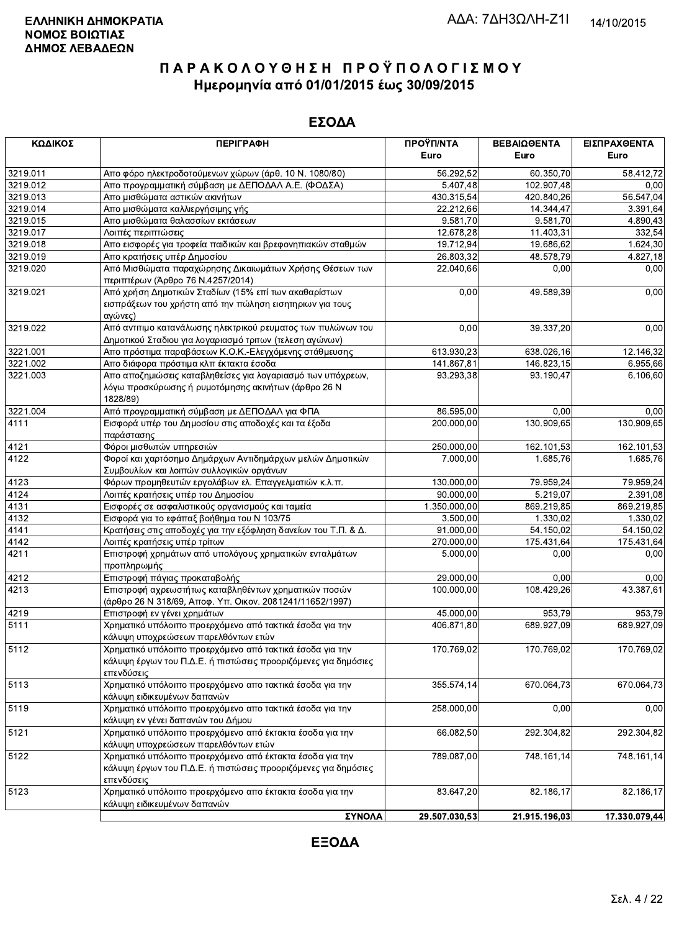| ΚΩΔΙΚΟΣ  | <b>ПЕРІГРАФН</b>                                                                                | ΠΡΟΫΠ/ΝΤΑ     | ΒΕΒΑΙΩΘΕΝΤΑ   | ΕΙΣΠΡΑΧΘΕΝΤΑ          |
|----------|-------------------------------------------------------------------------------------------------|---------------|---------------|-----------------------|
|          |                                                                                                 | Euro          | Euro          | Euro                  |
| 3219.011 | Απο φόρο ηλεκτροδοτούμενων χώρων (άρθ. 10 Ν. 1080/80)                                           | 56.292,52     | 60.350,70     | 58.412,72             |
| 3219.012 | Απο προγραμματική σύμβαση με ΔΕΠΟΔΑΛ Α.Ε. (ΦΟΔΣΑ)                                               | 5.407,48      | 102.907,48    | 0,00                  |
| 3219.013 | Απο μισθώματα αστικών ακινήτων                                                                  | 430.315,54    | 420.840,26    | 56.547,04             |
| 3219.014 | Απο μισθώματα καλλιεργήσιμης γής                                                                | 22.212,66     | 14.344,47     | 3.391,64              |
| 3219.015 | Απο μισθώματα θαλασσίων εκτάσεων                                                                | 9.581,70      | 9.581,70      | 4.890,43              |
| 3219.017 | Λοιπές περιπτώσεις                                                                              | 12.678,28     | 11.403,31     | 332,54                |
| 3219.018 | Απο εισφορές για τροφεία παιδικών και βρεφονηπιακών σταθμών                                     | 19.712,94     | 19.686,62     | 1.624,30              |
| 3219.019 | Απο κρατήσεις υπέρ Δημοσίου                                                                     | 26.803,32     | 48.578,79     | $\overline{4.827,18}$ |
| 3219.020 | Από Μισθώματα παραχώρησης Δικαιωμάτων Χρήσης Θέσεων των                                         | 22.040,66     | 0,00          | 0,00                  |
|          | περιπτέρων (Άρθρο 76 Ν.4257/2014)                                                               |               |               |                       |
| 3219.021 | Από χρήση Δημοτικών Σταδίων (15% επί των ακαθαρίστων                                            | 0,00          | 49.589,39     | 0,00                  |
|          | εισπράξεων του χρήστη από την πώληση εισητηριων για τους<br>αγώνες)                             |               |               |                       |
| 3219.022 | Από αντιτιμο κατανάλωσης ηλεκτρικού ρευματος των πυλώνων του                                    | 0,00          | 39.337,20     | 0,00                  |
|          | Δημοτικού Σταδιου για λογαριασμό τριτων (τελεση αγώνων)                                         |               |               |                       |
| 3221.001 | Απο πρόστιμα παραβάσεων Κ.Ο.Κ.-Ελεγχόμενης στάθμευσης                                           | 613.930,23    | 638.026,16    | 12.146,32             |
| 3221.002 | Απο διάφορα πρόστιμα κλπ έκτακτα έσοδα                                                          | 141.867,81    | 146.823,15    | 6.955,66              |
| 3221.003 | Απο αποζημιώσεις καταβληθείσες για λογαριασμό των υπόχρεων,                                     | 93.293,38     | 93.190,47     | 6.106,60              |
|          | λόγω προσκύρωσης ή ρυμοτόμησης ακινήτων (άρθρο 26 Ν<br>1828/89)                                 |               |               |                       |
| 3221.004 | Από προγραμματική σύμβαση με ΔΕΠΟΔΑΛ για ΦΠΑ                                                    | 86.595,00     | 0,00          | 0,00                  |
| 4111     | Εισφορά υπέρ του Δημοσίου στις αποδοχές και τα έξοδα<br>παράστασης                              | 200.000,00    | 130.909,65    | 130.909,65            |
| 4121     | Φόροι μισθωτών υπηρεσιών                                                                        | 250.000,00    | 162.101,53    | 162.101,53            |
| 4122     | Φοροί και χαρτόσημο Δημάρχων Αντιδημάρχων μελών Δημοτικών                                       | 7.000,00      | 1.685,76      | 1.685,76              |
|          | Συμβουλίων και λοιπών συλλογικών οργάνων                                                        |               |               |                       |
| 4123     | Φόρων προμηθευτών εργολάβων ελ. Επαγγελματιών κ.λ.π.                                            | 130.000,00    | 79.959,24     | 79.959,24             |
| 4124     | Λοιπές κρατήσεις υπέρ του Δημοσίου                                                              | 90.000,00     | 5.219,07      | 2.391,08              |
| 4131     | Εισφορές σε ασφαλιστικούς οργανισμούς και ταμεία                                                | 1.350.000,00  | 869.219,85    | 869.219,85            |
| 4132     | Εισφορά για το εφάπαξ βοήθημα του Ν 103/75                                                      | 3.500,00      | 1.330,02      | 1.330,02              |
| 4141     | Κρατήσεις στις αποδοχές για την εξόφληση δανείων του Τ.Π. & Δ.                                  | 91.000,00     | 54.150,02     | 54.150,02             |
| 4142     | Λοιπές κρατήσεις υπέρ τρίτων                                                                    | 270.000,00    | 175.431,64    | 175.431,64            |
| 4211     | Επιστροφή χρημάτων από υπολόγους χρηματικών ενταλμάτων<br>προπληρωμής                           | 5.000,00      | 0,00          | 0,00                  |
| 4212     | Επιστροφή πάγιας προκαταβολής                                                                   | 29.000,00     | 0,00          | 0,00                  |
| 4213     | Επιστροφή αχρεωστήτως καταβληθέντων χρηματικών ποσών                                            | 100.000,00    | 108.429,26    | 43.387,61             |
|          | (άρθρο 26 Ν 318/69, Αποφ. Υπ. Οικον. 2081241/11652/1997)                                        |               |               |                       |
| 4219     | Επιστροφή εν γένει χρημάτων                                                                     | 45.000,00     | 953,79        | 953,79                |
| 5111     | Χρηματικό υπόλοιπο προερχόμενο από τακτικά έσοδα για την                                        | 406.871,80    | 689.927,09    | 689.927,09            |
|          | κάλυψη υποχρεώσεων παρελθόντων ετών                                                             |               |               |                       |
| 5112     | Χρηματικό υπόλοιπο προερχόμενο από τακτικά έσοδα για την                                        | 170.769,02    | 170.769,02    | 170.769,02            |
|          | κάλυψη έργων του Π.Δ.Ε. ή πιστώσεις προοριζόμενες για δημόσιες                                  |               |               |                       |
|          | επενδύσεις                                                                                      |               |               |                       |
| 5113     | Χρηματικό υπόλοιπο προερχόμενο απο τακτικά έσοδα για την<br>κάλυψη ειδικευμένων δαπανών         | 355.574,14    | 670.064,73    | 670.064,73            |
| 5119     | Χρηματικό υπόλοιπο προερχόμενο απο τακτικά έσοδα για την                                        | 258.000,00    | 0,00          | 0,00                  |
|          |                                                                                                 |               |               |                       |
| 5121     | κάλυψη εν γένει δαπανών του Δήμου                                                               |               |               |                       |
|          | Χρηματικό υπόλοιπο προερχόμενο από έκτακτα έσοδα για την<br>κάλυψη υποχρεώσεων παρελθόντων ετών | 66.082,50     | 292.304,82    | 292.304,82            |
| 5122     | Χρηματικό υπόλοιπο προερχόμενο από έκτακτα έσοδα για την                                        | 789.087,00    | 748.161,14    | 748.161,14            |
|          | κάλυψη έργων του Π.Δ.Ε. ή πιστώσεις προοριζόμενες για δημόσιες<br>επενδύσεις                    |               |               |                       |
| 5123     | Χρηματικό υπόλοιπο προερχόμενο απο έκτακτα έσοδα για την<br>κάλυψη ειδικευμένων δαπανών         | 83.647,20     | 82.186,17     | 82.186,17             |
|          | ΣΥΝΟΛΑ                                                                                          | 29.507.030,53 | 21.915.196,03 | 17.330.079,44         |
|          |                                                                                                 |               |               |                       |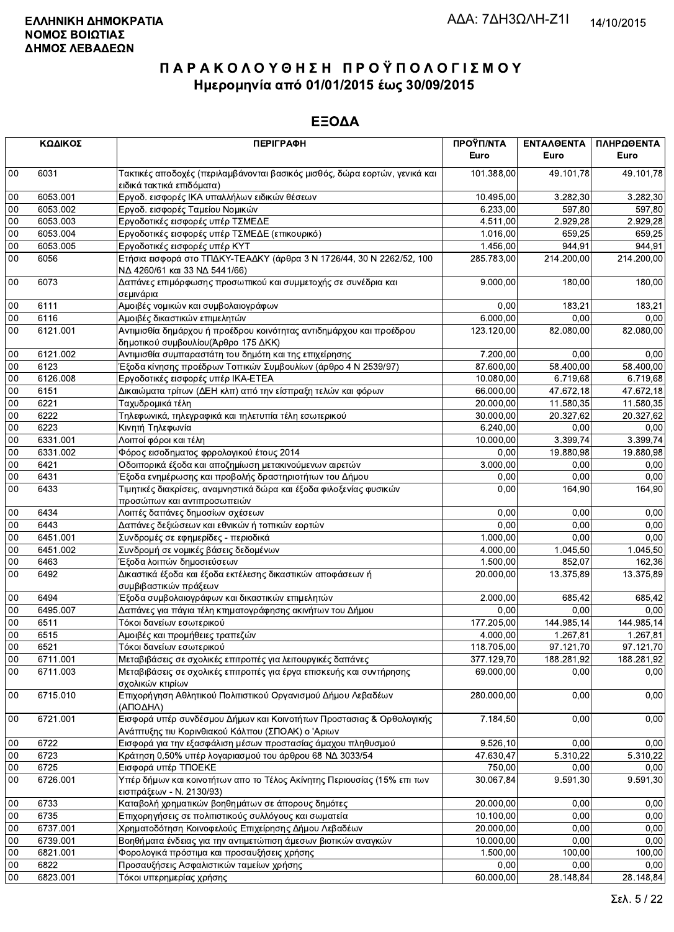|        | ΚΩΔΙΚΟΣ  | <b>ПЕРІГРАФН</b>                                                                                                          | ΠΡΟΫΠ/ΝΤΑ<br>Euro | ΕΝΤΑΛΘΕΝΤΑ<br>Euro | ΠΛΗΡΩΘΕΝΤΑ<br>Euro |
|--------|----------|---------------------------------------------------------------------------------------------------------------------------|-------------------|--------------------|--------------------|
| $00\,$ | 6031     | Τακτικές αποδοχές (περιλαμβάνονται βασικός μισθός, δώρα εορτών, γενικά και<br>ειδικά τακτικά επιδόματα)                   | 101.388,00        | 49.101,78          | 49.101,78          |
| 00     | 6053.001 | Εργοδ. εισφορές ΙΚΑ υπαλλήλων ειδικών θέσεων                                                                              | 10 495,00         | 3.282,30           | 3.282,30           |
| 00     | 6053.002 | Εργοδ. εισφορές Ταμείου Νομικών                                                                                           | 6.233,00          | 597,80             | 597,80             |
| 00     | 6053.003 | Εργοδοτικές εισφορές υπέρ ΤΣΜΕΔΕ                                                                                          | 4.511,00          | 2.929,28           | 2.929,28           |
| 00     | 6053.004 | Εργοδοτικές εισφορές υπέρ ΤΣΜΕΔΕ (επικουρικό)                                                                             | 1.016,00          | 659,25             | 659,25             |
| 00     | 6053.005 | Εργοδοτικές εισφορές υπέρ ΚΥΤ                                                                                             | 1.456,00          | 944,91             | 944,91             |
| $00\,$ | 6056     | Ετήσια εισφορά στο ΤΠΔΚΥ-ΤΕΑΔΚΥ (άρθρα 3 Ν 1726/44, 30 Ν 2262/52, 100<br>ΝΔ 4260/61 και 33 ΝΔ 5441/66)                    | 285.783,00        | 214.200,00         | 214.200,00         |
| $00\,$ | 6073     | Δαπάνες επιμόρφωσης προσωπικού και συμμετοχής σε συνέδρια και<br>σεμινάρια                                                | 9.000,00          | 180,00             | 180,00             |
| $00\,$ | 6111     | Αμοιβές νομικών και συμβολαιογράφων                                                                                       | 0.00              | 183,21             | 183,21             |
| 00     | 6116     | Αμοιβές δικαστικών επιμελητών                                                                                             | 6.000,00          | 0,00               | 0,00               |
| 00     | 6121.001 | Αντιμισθία δημάρχου ή προέδρου κοινότητας αντιδημάρχου και προέδρου<br>δημοτικού συμβουλίου (Άρθρο 175 ΔΚΚ)               | 123.120,00        | 82.080,00          | 82.080,00          |
| $00\,$ | 6121.002 | Αντιμισθία συμπαραστάτη του δημότη και της επιχείρησης                                                                    | 7.200,00          | 0.00               | 0,00               |
| 00     | 6123     | Έξοδα κίνησης προέδρων Τοπικών Συμβουλίων (άρθρο 4 Ν 2539/97)                                                             | 87.600,00         | 58.400,00          | 58.400,00          |
| 00     | 6126.008 | Εργοδοτικές εισφορές υπέρ ΙΚΑ-ΕΤΕΑ                                                                                        | 10.080,00         | 6.719,68           | 6.719,68           |
| 00     | 6151     | Δικαιώματα τρίτων (ΔΕΗ κλπ) από την είσπραξη τελών και φόρων                                                              | 66.000,00         | 47.672,18          | 47.672,18          |
| 00     | 6221     | Ταχυδρομικά τέλη                                                                                                          | 20.000,00         | 11.580,35          | 11.580,35          |
| 00     | 6222     | Τηλεφωνικά, τηλεγραφικά και τηλετυπία τέλη εσωτερικού                                                                     | 30.000,00         | 20.327,62          | 20.327,62          |
| 00     | 6223     | Κινητή Τηλεφωνία                                                                                                          | 6.240,00          | 0,00               | 0,00               |
| 00     | 6331.001 | Λοιποί φόροι και τέλη                                                                                                     | 10.000,00         | 3.399,74           | 3.399,74           |
| 00     | 6331.002 | Φόρος εισοδηματος φρρολογικού έτους 2014                                                                                  | 0,00              | 19.880,98          | 19.880,98          |
| 00     | 6421     | Οδοιπορικά έξοδα και αποζημίωση μετακινούμενων αιρετών                                                                    | 3.000,00          | 0,00               | 0,00               |
| 00     | 6431     | Έξοδα ενημέρωσης και προβολής δραστηριοτήτων του Δήμου                                                                    | 0,00              | 0,00               | 0,00               |
| 00     | 6433     | Τιμητικές διακρίσεις, αναμνηστικά δώρα και έξοδα φιλοξενίας φυσικών<br>προσώπων και αντιπροσωπειών                        | 0.00              | 164,90             | 164,90             |
| $00\,$ | 6434     | Λοιπές δαπάνες δημοσίων σχέσεων                                                                                           | 0.00              | 0.00               | 0,00               |
| 00     | 6443     | Δαπάνες δεξιώσεων και εθνικών ή τοπικών εορτών                                                                            | 0,00              | 0,00               | 0,00               |
| 00     | 6451.001 | Συνδρομές σε εφημερίδες - περιοδικά                                                                                       | 1.000,00          | 0,00               | 0,00               |
| 00     | 6451.002 | Συνδρομή σε νομικές βάσεις δεδομένων                                                                                      | 4.000,00          | 1.045,50           | 1.045,50           |
| 00     | 6463     | Έξοδα λοιπών δημοσιεύσεων                                                                                                 | 1.500,00          | 852,07             | 162,36             |
| 00     | 6492     | Δικαστικά έξοδα και έξοδα εκτέλεσης δικαστικών αποφάσεων ή<br>συμβιβαστικών πράξεων                                       | 20.000,00         | 13.375,89          | 13.375,89          |
| $00\,$ | 6494     | Έξοδα συμβολαιογράφων και δικαστικών επιμελητών                                                                           | 2.000,00          | 685,42             | 685,42             |
| 00     | 6495.007 | Δαπάνες για πάγια τέλη κτηματογράφησης ακινήτων του Δήμου                                                                 | 0,00              | 0,00               | 0,00               |
| 00     | 6511     | Τόκοι δανείων εσωτερικού                                                                                                  | 177.205,00        | 144.985,14         | 144.985,14         |
| 00     | 6515     | Αμοιβές και προμήθειες τραπεζών                                                                                           | 4.000,00          | 1.267,81           | 1.267,81           |
| 00     | 6521     | Τόκοι δανείων εσωτερικού                                                                                                  | 118.705,00        | 97.121,70          | 97.121,70          |
| 00     | 6711.001 | Μεταβιβάσεις σε σχολικές επιτροπές για λειτουργικές δαπάνες                                                               | 377.129,70        | 188.281,92         | 188.281,92         |
| 00     | 6711.003 | Μεταβιβάσεις σε σχολικές επιτροπές για έργα επισκευής και συντήρησης<br>σχολικών κτιρίων                                  | 69.000,00         | 0,00               | 0,00               |
| 00     | 6715.010 | Επιχορήγηση Αθλητικού Πολιτιστικού Οργανισμού Δήμου Λεβαδέων<br>(ΑΠΟΔΗΛ)                                                  | 280.000,00        | 0,00               | 0,00               |
| 00     | 6721.001 | Εισφορά υπέρ συνδέσμου Δήμων και Κοινοτήτων Προστασιας & Ορθολογικής<br>Ανάπτυξης τιυ Κορινθιακού Κόλπου (ΣΠΟΑΚ) ο 'Αριων | 7.184,50          | 0,00               | 0,00               |
| 00     | 6722     | Εισφορά για την εξασφάλιση μέσων προστασίας άμαχου πληθυσμού                                                              | 9.526.10          | 0,00               | 0,00               |
| 00     | 6723     | Κράτηση 0,50% υπέρ λογαριασμού του άρθρου 68 ΝΔ 3033/54                                                                   | 47.630,47         | 5.310,22           | 5.310,22           |
| $00\,$ | 6725     | Εισφορά υπέρ ΤΠΟΕΚΕ                                                                                                       | 750,00            | 0,00               | 0,00               |
| 00     | 6726.001 | Υπέρ δήμων και κοινοτήτων απο το Τέλος Ακίνητης Περιουσίας (15% επι των<br>εισπράξεων - Ν. 2130/93)                       | 30.067,84         | 9.591,30           | 9.591,30           |
| 00     | 6733     | Καταβολή χρηματικών βοηθημάτων σε άπορους δημότες                                                                         | 20.000,00         | 0,00               | 0,00               |
| $00\,$ | 6735     | Επιχορηγήσεις σε πολιτιστικούς συλλόγους και σωματεία                                                                     | 10.100,00         | 0,00               | 0,00               |
| 00     | 6737.001 | Χρηματοδότηση Κοινοφελούς Επιχείρησης Δήμου Λεβαδέων                                                                      | 20.000,00         | 0,00               | 0,00               |
| 00     | 6739.001 | Βοηθήματα ένδειας για την αντιμετώπιση άμεσων βιοτικών αναγκών                                                            | 10.000,00         | 0,00               | 0,00               |
| 00     | 6821.001 | Φορολογικά πρόστιμα και προσαυξήσεις χρήσης                                                                               | 1.500,00          | 100,00             | 100,00             |
| $00\,$ | 6822     | Προσαυξήσεις Ασφαλιστικών ταμείων χρήσης                                                                                  | 0,00              | 0,00               | 0,00               |
| $00\,$ | 6823.001 | Τόκοι υπερημερίας χρήσης                                                                                                  | 60.000,00         | 28.148,84          | 28.148,84          |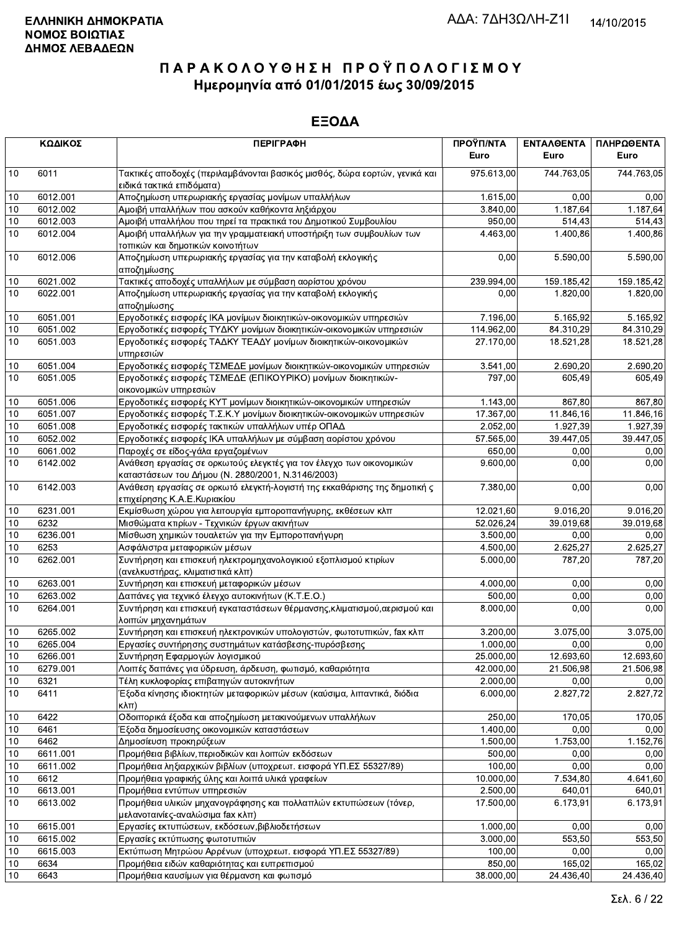|                 | ΚΩΔΙΚΟΣ  | <b>ПЕРІГРАФН</b>                                                                                                          | ΠΡΟΫΠ/ΝΤΑ<br>Euro | ΕΝΤΑΛΘΕΝΤΑ<br>Euro    | ΠΛΗΡΩΘΕΝΤΑ<br>Euro |
|-----------------|----------|---------------------------------------------------------------------------------------------------------------------------|-------------------|-----------------------|--------------------|
| 10              | 6011     | Τακτικές αποδοχές (περιλαμβάνονται βασικός μισθός, δώρα εορτών, γενικά και<br>ειδικά τακτικά επιδόματα)                   | 975.613,00        | 744.763,05            | 744.763,05         |
| 10              | 6012.001 | Αποζημίωση υπερωριακής εργασίας μονίμων υπαλλήλων                                                                         | 1.615,00          | 0.00                  | 0,00               |
| 10              | 6012.002 | Αμοιβή υπαλλήλων που ασκούν καθήκοντα ληξιάρχου                                                                           | 3.840,00          | 1.187,64              | 1.187,64           |
| 10              | 6012.003 | Αμοιβή υπαλλήλου που τηρεί τα πρακτικά του Δημοτικού Συμβουλίου                                                           | 950,00            | 514,43                | 514,43             |
| 10              | 6012.004 | Αμοιβή υπαλλήλων για την γραμματειακή υποστήριξη των συμβουλίων των<br>τοπικών και δημοτικών κοινοτήτων                   | 4.463,00          | 1.400,86              | 1.400,86           |
| 10              | 6012.006 | Αποζημίωση υπερωριακής εργασίας για την καταβολή εκλογικής<br>αποζημίωσης                                                 | 0,00              | 5.590,00              | 5.590,00           |
| 10              | 6021.002 | Τακτικές αποδοχές υπαλλήλων με σύμβαση αορίστου χρόνου                                                                    | 239.994,00        | 159.185,42            | 159.185,42         |
| 10              | 6022.001 | Αποζημίωση υπερωριακής εργασίας για την καταβολή εκλογικής<br>αποζημίωσης                                                 | 0,00              | 1.820,00              | 1.820,00           |
| 10              | 6051.001 | Εργοδοτικές εισφορές ΙΚΑ μονίμων διοικητικών-οικονομικών υπηρεσιών                                                        | 7.196,00          | $\overline{5.165,92}$ | 5.165,92           |
| 10              | 6051.002 | Εργοδοτικές εισφορές ΤΥΔΚΥ μονίμων διοικητικών-οικονομικών υπηρεσιών                                                      | 114.962,00        | 84.310,29             | 84.310,29          |
| 10              | 6051.003 | Εργοδοτικές εισφορές ΤΑΔΚΥ ΤΕΑΔΥ μονίμων διοικητικών-οικονομικών<br>υπηρεσιών                                             | 27.170,00         | 18.521,28             | 18.521,28          |
| 10              | 6051.004 | Εργοδοτικές εισφορές ΤΣΜΕΔΕ μονίμων διοικητικών-οικονομικών υπηρεσιών                                                     | 3.541,00          | 2.690,20              | 2.690,20           |
| 10              | 6051.005 | Εργοδοτικές εισφορές ΤΣΜΕΔΕ (ΕΠΙΚΟΥΡΙΚΟ) μονίμων διοικητικών-<br>οικονομικών υπηρεσιών                                    | 797,00            | 605.49                | 605,49             |
| 10              | 6051.006 | Εργοδοτικές εισφορές ΚΥΤ μονίμων διοικητικών-οικονομικών υπηρεσιών                                                        | 1.143,00          | 867,80                | 867,80             |
| 10              | 6051.007 | Εργοδοτικές εισφορές Τ.Σ.Κ.Υ μονίμων διοικητικών-οικονομικών υπηρεσιών                                                    | 17.367,00         | 11.846,16             | 11.846,16          |
| 10              | 6051.008 | Εργοδοτικές εισφορές τακτικών υπαλλήλων υπέρ ΟΠΑΔ                                                                         | 2.052,00          | 1.927,39              | 1.927,39           |
| 10              | 6052.002 | Εργοδοτικές εισφορές ΙΚΑ υπαλλήλων με σύμβαση αορίστου χρόνου                                                             | 57.565,00         | 39.447,05             | 39.447,05          |
| 10              | 6061.002 | Παροχές σε είδος-γάλα εργαζομένων                                                                                         | 650,00            | 0,00                  | 0,00               |
| 10              | 6142.002 | Ανάθεση εργασίας σε ορκωτούς ελεγκτές για τον έλεγχο των οικονομικών<br>καταστάσεων του Δήμου (Ν. 2880/2001, Ν.3146/2003) | 9.600,00          | 0,00                  | 0,00               |
| 10              | 6142.003 | Ανάθεση εργασίας σε ορκωτό ελεγκτή-λογιστή της εκκαθάρισης της δημοτική ς<br>επιχείρησης Κ.Α.Ε.Κυριακίου                  | 7.380,00          | 0,00                  | 0,00               |
| 10              | 6231.001 | Εκμίσθωση χώρου για λειτουργία εμποροπανήγυρης, εκθέσεων κλπ                                                              | 12.021,60         | 9.016,20              | 9.016,20           |
| 10              | 6232     | Μισθώματα κτιρίων - Τεχνικών έργων ακινήτων                                                                               | 52.026,24         | 39.019,68             | 39.019,68          |
| 10              | 6236.001 | Μίσθωση χημικών τουαλετών για την Εμποροπανήγυρη                                                                          | 3.500,00          | 0,00                  | 0,00               |
| 10              | 6253     | Ασφάλιστρα μεταφορικών μέσων                                                                                              | 4.500,00          | 2.625,27              | 2.625,27           |
| 10              | 6262.001 | Συντήρηση και επισκευή ηλεκτρομηχανολογικιού εξοπλισμού κτιρίων<br>(ανελκυστήρας, κλιματιστικά κλπ)                       | 5.000,00          | 787,20                | 787,20             |
| 10              | 6263.001 | Συντήρηση και επισκευή μεταφορικών μέσων                                                                                  | 4.000,00          | 0,00                  | 0,00               |
| 10              | 6263.002 | Δαπάνες για τεχνικό έλεγχο αυτοκινήτων (Κ.Τ.Ε.Ο.)                                                                         | 500,00            | 0,00                  | 0,00               |
| 10              | 6264.001 | Συντήρηση και επισκευή εγκαταστάσεων θέρμανσης, κλιματισμού, αερισμού και<br>λοιπών μηχανημάτων                           | 8.000,00          | 0,00                  | 0,00               |
| 10              | 6265.002 | Συντήρηση και επισκευή ηλεκτρονικών υπολογιστών, φωτοτυπικών, fax κλπ                                                     | 3.200,00          | 3.075,00              | 3.075,00           |
| $\overline{10}$ | 6265.004 | Εργασίες συντήρησης συστημάτων κατάσβεσης-πυρόσβεσης                                                                      | 1.000,00          | 0,00                  | 0,00               |
| 10              | 6266.001 | Συντήρηση Εφαρμογών λογισμικού                                                                                            | 25.000,00         | 12.693,60             | 12.693,60          |
| 10              | 6279.001 | Λοιπές δαπάνες για ύδρευση, άρδευση, φωτισμό, καθαριότητα                                                                 | 42.000,00         | 21.506,98             | 21.506,98          |
| 10              | 6321     | Τέλη κυκλοφορίας επιβατηγών αυτοκινήτων                                                                                   | 2.000,00          | 0,00                  | 0,00               |
| 10              | 6411     | Έξοδα κίνησης ιδιοκτητών μεταφορικών μέσων (καύσιμα, λιπαντικά, διόδια<br>$\kappa\lambda\pi$ )                            | 6.000,00          | 2.827,72              | 2.827,72           |
| 10              | 6422     | Οδοιπορικά έξοδα και αποζημίωση μετακινούμενων υπαλλήλων                                                                  | 250,00            | 170.05                | 170,05             |
| 10              | 6461     | Έξοδα δημοσίευσης οικονομικών καταστάσεων                                                                                 | 1.400,00          | 0,00                  | 0,00               |
| 10              | 6462     | Δημοσίευση προκηρύξεων                                                                                                    | 1.500,00          | 1.753,00              | 1.152,76           |
| 10              | 6611.001 | Προμήθεια βιβλίων, περιοδικών και λοιπών εκδόσεων                                                                         | 500,00            | 0,00                  | 0,00               |
| 10              | 6611.002 | Προμήθεια ληξιαρχικών βιβλίων (υποχρεωτ. εισφορά ΥΠ.ΕΣ 55327/89)                                                          | 100,00            | 0,00                  | 0,00               |
| 10              | 6612     | Προμήθεια γραφικής ύλης και λοιπά υλικά γραφείων                                                                          | 10.000,00         | 7.534,80              | 4.641,60           |
| 10              | 6613.001 | Προμήθεια εντύπων υπηρεσιών                                                                                               | 2.500,00          | 640,01                | 640,01             |
| 10              | 6613.002 | Προμήθεια υλικών μηχανογράφησης και πολλαπλών εκτυπώσεων (τόνερ,<br>μελανοταινίες-αναλώσιμα fax κλπ)                      | 17.500,00         | 6.173,91              | 6.173,91           |
| 10              | 6615.001 | Εργασίες εκτυπώσεων, εκδόσεων, βιβλιοδετήσεων                                                                             | 1.000,00          | 0,00                  | 0,00               |
| 10              | 6615.002 | Εργασίες εκτύπωσης φωτοτυπιών                                                                                             | 3.000,00          | 553.50                | 553,50             |
| 10              | 6615.003 | Εκτύπωση Μητρώου Αρρένων (υποχρεωτ. εισφορά ΥΠ.ΕΣ 55327/89)                                                               | 100,00            | 0,00                  | 0,00               |
| 10              | 6634     | Προμήθεια ειδών καθαριότητας και ευπρεπισμού                                                                              | 850,00            | 165,02                | 165,02             |
| 10              | 6643     | Προμήθεια καυσίμων για θέρμανση και φωτισμό                                                                               | 38.000,00         | 24.436,40             | 24.436,40          |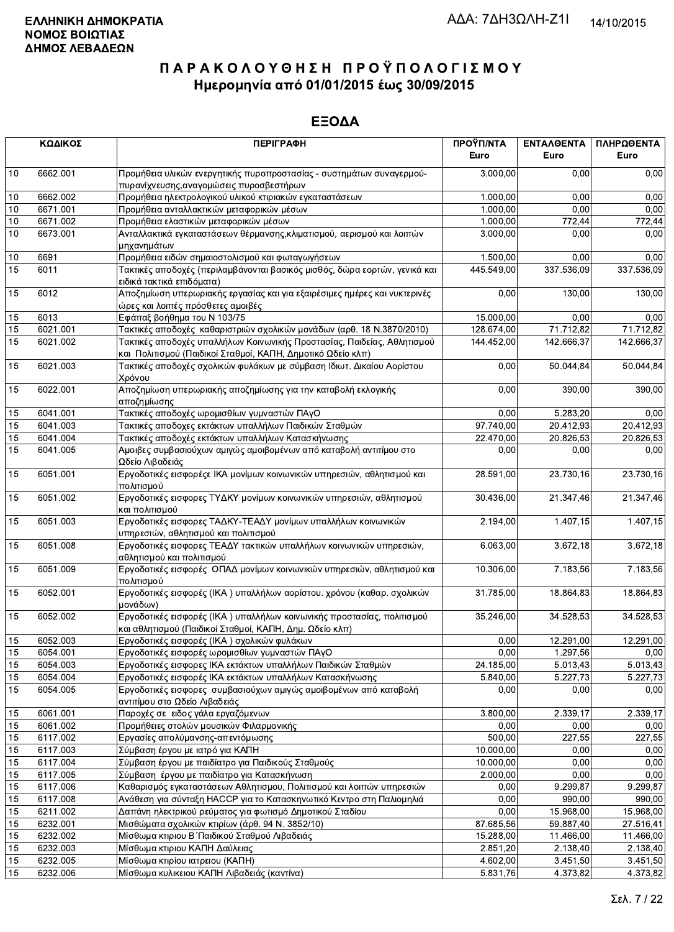|    | ΚΩΔΙΚΟΣ  | <b>ПЕРІГРАФН</b>                                                                                                                       | ΠΡΟΫΠ/ΝΤΑ<br>Euro | <b>ENTAAGENTA</b><br>Euro | ΠΛΗΡΩΘΕΝΤΑ<br>Euro |
|----|----------|----------------------------------------------------------------------------------------------------------------------------------------|-------------------|---------------------------|--------------------|
| 10 | 6662.001 | Προμήθεια υλικών ενεργητικής πυροπροστασίας - συστημάτων συναγερμού-<br>πυρανίχνευσης, αναγομώσεις πυροσβεστήρων                       | 3.000,00          | 0.00                      | 0,00               |
| 10 | 6662.002 | Προμήθεια ηλεκτρολογικού υλικού κτιριακών εγκαταστάσεων                                                                                | 1.000,00          | 0.00                      | 0,00               |
| 10 | 6671.001 | Προμήθεια ανταλλακτικών μεταφορικών μέσων                                                                                              | 1.000,00          | 0,00                      | 0,00               |
| 10 | 6671.002 | Προμήθεια ελαστικών μεταφορικών μέσων                                                                                                  | 1.000,00          | 772,44                    | 772,44             |
| 10 | 6673.001 | Ανταλλακτικά εγκαταστάσεων θέρμανσης, κλιματισμού, αερισμού και λοιπών                                                                 | 3.000,00          | 0,00                      | 0,00               |
| 10 | 6691     | μηχανημάτων<br>Προμήθεια ειδών σημαιοστολισμού και φωταγωγήσεων                                                                        | 1.500,00          | 0,00                      | 0,00               |
| 15 | 6011     | Τακτικές αποδοχές (περιλαμβάνονται βασικός μισθός, δώρα εορτών, γενικά και                                                             | 445.549,00        | 337.536,09                | 337.536,09         |
|    |          | ειδικά τακτικά επιδόματα)                                                                                                              |                   |                           |                    |
| 15 | 6012     | Αποζημίωση υπερωριακής εργασίας και για εξαιρέσιμες ημέρες και νυκτερινές<br>ώρες και λοιπές πρόσθετες αμοιβές                         | 0,00              | 130,00                    | 130,00             |
| 15 | 6013     | Εφάπαξ βοήθημα του Ν 103/75                                                                                                            | 15.000,00         | 0,00                      | 0,00               |
| 15 | 6021.001 | Τακτικές αποδοχές καθαριστριών σχολικών μονάδων (αρθ. 18 Ν.3870/2010)                                                                  | 128.674,00        | 71.712,82                 | 71.712,82          |
| 15 | 6021.002 | Τακτικές αποδοχές υπαλλήλων Κοινωνικής Προστασίας, Παιδείας, Αθλητισμού<br>και Πολιτισμού (Παιδικοί Σταθμοί, ΚΑΠΗ, Δημοτικό Ωδείο κλπ) | 144.452,00        | 142.666,37                | 142.666,37         |
| 15 | 6021.003 | Τακτικές αποδοχές σχολικών φυλάκων με σύμβαση Ιδιωτ. Δικαίου Αορίστου<br>Χρόνου                                                        | 0,00              | 50.044,84                 | 50.044,84          |
| 15 | 6022.001 | Αποζημίωση υπερωριακής αποζημίωσης για την καταβολή εκλογικής<br>αποζημίωσης                                                           | 0,00              | 390,00                    | 390,00             |
| 15 | 6041.001 | Τακτικές αποδοχές ωρομισθίων γυμναστών ΠΑγΟ                                                                                            | 0,00              | 5.283,20                  | 0,00               |
| 15 | 6041.003 | Τακτικές αποδοχες εκτάκτων υπαλλήλων Παιδικών Σταθμών                                                                                  | 97.740,00         | 20.412,93                 | 20.412,93          |
| 15 | 6041.004 | Τακτικές αποδοχές εκτάκτων υπαλλήλων Κατασκήνωσης                                                                                      | 22.470,00         | 20.826,53                 | 20.826,53          |
| 15 | 6041.005 | Αμοιβες συμβασιούχων αμιγώς αμοιβομένων από καταβολή αντιτίμου στο<br>Ωδείο Λιβαδειάς                                                  | 0,00              | 0,00                      | 0,00               |
| 15 | 6051.001 | Εργοδοτικές εισφορέςε ΙΚΑ μονίμων κοινωνικών υπηρεσιών, αθλητισμού και<br>πολιτισμού                                                   | 28.591,00         | 23.730,16                 | 23.730,16          |
| 15 | 6051.002 | Εργοδοτικές εισφορες ΤΥΔΚΥ μονίμων κοινωνικών υπηρεσιών, αθλητισμού<br>και πολιτισμού                                                  | 30.436,00         | 21.347,46                 | 21.347,46          |
| 15 | 6051.003 | Εργοδοτικές εισφορες ΤΑΔΚΥ-ΤΕΑΔΥ μονίμων υπαλλήλων κοινωνικών<br>υπηρεσιών, αθλητισμού και πολιτισμού                                  | 2.194,00          | 1.407, 15                 | 1.407,15           |
| 15 | 6051.008 | Εργοδοτικές εισφορες ΤΕΑΔΥ τακτικών υπαλλήλων κοινωνικών υπηρεσιών,<br>αθλητισμού και πολιτισμού                                       | 6.063,00          | 3.672,18                  | 3.672,18           |
| 15 | 6051.009 | Εργοδοτικές εισφορές ΟΠΑΔ μονίμων κοινωνικών υπηρεσιών, αθλητισμού και<br>πολιτισμού                                                   | 10.306,00         | 7.183,56                  | 7.183,56           |
| 15 | 6052.001 | Εργοδοτικές εισφορές (ΙΚΑ) υπαλλήλων αορίστου. χρόνου (καθαρ. σχολικών<br>μονάδων)                                                     | 31.785,00         | 18.864,83                 | 18.864,83          |
| 15 | 6052.002 | Εργοδοτικές εισφορές (ΙΚΑ) υπαλλήλων κοινωνικής προστασίας, πολιτισμού<br>και αθλητισμού (Παιδικοί Σταθμοί, ΚΑΠΗ, Δημ. Ωδείο κλπ)      | 35.246,00         | 34.528,53                 | 34.528,53          |
| 15 | 6052.003 | Εργοδοτικές εισφορές (ΙΚΑ) σχολικών φυλάκων                                                                                            | 0,00              | 12.291,00                 | 12.291,00          |
| 15 | 6054.001 | Εργοδοτικές εισφορές ωρομισθίων γυμναστών ΠΑγΟ                                                                                         | 0,00              | 1.297,56                  | 0,00               |
| 15 | 6054.003 | Εργοδοτικές εισφορες ΙΚΑ εκτάκτων υπαλλήλων Παιδικών Σταθμών                                                                           | 24.185,00         | 5.013,43                  | 5.013,43           |
| 15 | 6054.004 | Εργοδοτικές εισφορές ΙΚΑ εκτάκτων υπαλλήλων Κατασκήνωσης                                                                               | 5.840,00          | 5.227,73                  | 5.227,73           |
| 15 | 6054.005 | Εργοδοτικές εισφορες συμβασιούχων αμιγώς αμοιβομένων από καταβολή<br>αντιτίμου στο Ωδείο Λιβαδειάς                                     | 0,00              | 0,00                      | 0,00               |
| 15 | 6061.001 | Παροχές σε ειδος γάλα εργαζόμενων                                                                                                      | 3.800,00          | 2.339,17                  | 2.339,17           |
| 15 | 6061.002 | Προμήθειες στολών μουσικών Φιλαρμονικής                                                                                                | 0,00              | 0,00                      | 0,00               |
| 15 | 6117.002 | Εργασίες απολύμανσης-απεντόμωσης                                                                                                       | 500,00            | 227,55                    | 227,55             |
| 15 | 6117.003 | Σύμβαση έργου με ιατρό για ΚΑΠΗ                                                                                                        | 10.000,00         | 0,00                      | 0,00               |
| 15 | 6117.004 | Σύμβαση έργου με παιδίατρο για Παιδικούς Σταθμούς                                                                                      | 10.000,00         | 0,00                      | 0,00               |
| 15 | 6117.005 | Σύμβαση έργου με παιδίατρο για Κατασκήνωση                                                                                             | 2.000,00          | 0,00                      | 0,00               |
| 15 | 6117.006 | Καθαρισμός εγκαταστάσεων Αθλητισμου, Πολιτισμού και λοιπών υπηρεσιών                                                                   | 0,00              | 9.299,87                  | 9.299,87           |
| 15 | 6117.008 | Ανάθεση για σύνταξη ΗΑCCP για το Κατασκηνωτικό Κεντρο στη Παλιομηλιά                                                                   | 0,00              | 990,00                    | 990,00             |
| 15 | 6211.002 | Δαπάνη ηλεκτρικού ρεύματος για φωτισμό Δημοτικού Σταδίου                                                                               | 0,00              | 15.968,00                 | 15.968,00          |
| 15 | 6232.001 | Μισθώματα σχολικών κτιρίων (άρθ. 94 Ν. 3852/10)                                                                                        | 87.685,56         | 59.887,40                 | 27.516,41          |
| 15 | 6232.002 | Μίσθωμα κτιριου Β΄ Παιδικού Σταθμού Λιβαδειάς                                                                                          | 15.288,00         | 11.466,00                 | 11.466,00          |
| 15 | 6232.003 | Μίσθωμα κτιριου ΚΑΠΗ Δαύλειας                                                                                                          | 2.851,20          | 2.138,40                  | 2.138,40           |
| 15 | 6232.005 | Μίσθωμα κτιρίου ιατρειου (ΚΑΠΗ)                                                                                                        | 4.602,00          | 3.451,50                  | 3.451,50           |
| 15 | 6232.006 | Μίσθωμα κυλικειου ΚΑΠΗ Λιβαδειάς (καντίνα)                                                                                             | 5.831,76          | 4.373,82                  | 4.373,82           |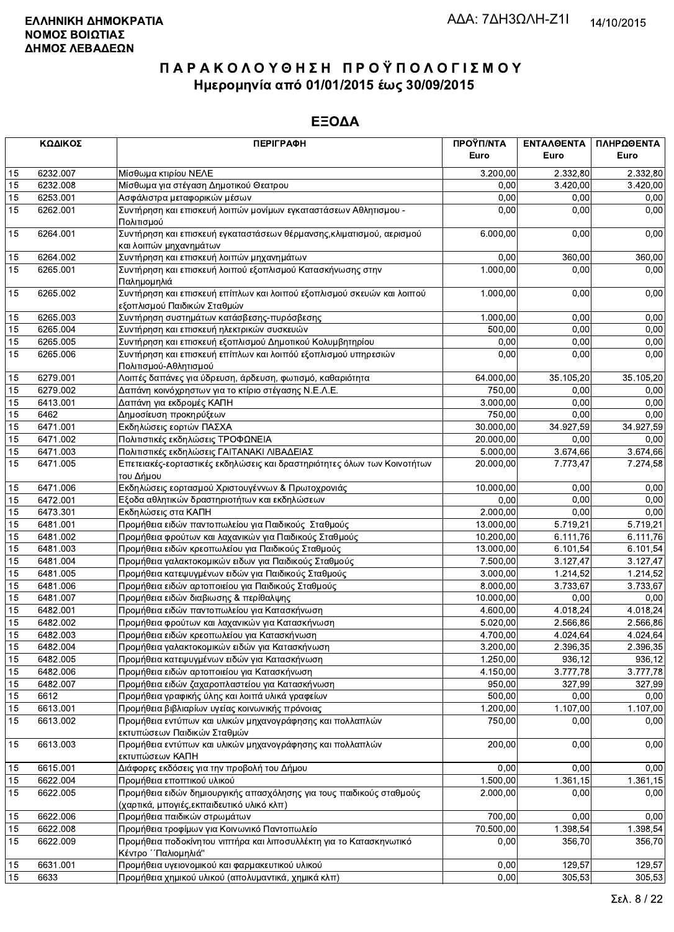|                 | ΚΩΔΙΚΟΣ  | <b>ПЕРІГРАФН</b>                                                                                                   | ΠΡΟΫΠ/ΝΤΑ<br>Euro | ΕΝΤΑΛΘΕΝΤΑ<br>Euro | ΠΛΗΡΩΘΕΝΤΑ<br>Euro |
|-----------------|----------|--------------------------------------------------------------------------------------------------------------------|-------------------|--------------------|--------------------|
| 15              | 6232.007 | Μίσθωμα κτιρίου ΝΕΛΕ                                                                                               | 3.200,00          | 2.332,80           | 2.332,80           |
| 15              | 6232.008 | Μίσθωμα για στέγαση Δημοτικού Θεατρου                                                                              | 0,00              | 3.420,00           | 3.420,00           |
| 15              | 6253.001 | Ασφάλιστρα μεταφορικών μέσων                                                                                       | 0,00              | 0,00               | 0,00               |
| 15              | 6262.001 | Συντήρηση και επισκευή λοιπών μονίμων εγκαταστάσεων Αθλητισμου -<br>Πολιτισμού                                     | 0,00              | 0,00               | 0,00               |
| 15              | 6264.001 | Συντήρηση και επισκευή εγκαταστάσεων θέρμανσης, κλιματισμού, αερισμού<br>και λοιπών μηχανημάτων                    | 6.000,00          | 0,00               | 0,00               |
| 15              | 6264.002 | Συντήρηση και επισκευή λοιπών μηχανημάτων                                                                          | 0,00              | 360,00             | 360,00             |
| 15              | 6265.001 | Συντήρηση και επισκευή λοιπού εξοπλισμού Κατασκήνωσης στην<br>Παλημομηλιά                                          | 1.000,00          | 0,00               | 0,00               |
| 15              | 6265.002 | Συντήρηση και επισκευή επίπλων και λοιπού εξοπλισμού σκευών και λοιπού<br>εξοπλισμού Παιδικών Σταθμών              | 1.000,00          | 0,00               | 0,00               |
| 15              | 6265.003 | Συντήρηση συστημάτων κατάσβεσης-πυρόσβεσης                                                                         | 1.000,00          | 0.00               | 0,00               |
| 15              | 6265.004 | Συντήρηση και επισκευή ηλεκτρικών συσκευών                                                                         | 500,00            | 0,00               | 0,00               |
| 15              | 6265.005 | Συντήρηση και επισκευή εξοπλισμού Δημοτικού Κολυμβητηρίου                                                          | 0,00              | 0,00               | 0,00               |
| 15              | 6265.006 | Συντήρηση και επισκευή επίπλων και λοιπόύ εξοπλισμού υπηρεσιών<br>Πολιτισμού-Αθλητισμού                            | 0,00              | 0.00               | 0,00               |
| 15              | 6279.001 | Λοιπές δαπάνες για ύδρευση, άρδευση, φωτισμό, καθαριότητα                                                          | 64.000,00         | 35.105,20          | 35.105,20          |
| 15              | 6279.002 | Δαπάνη κοινόχρηστων για το κτίριο στέγασης Ν.Ε.Λ.Ε.                                                                | 750,00            | 0,00               | 0,00               |
| 15              | 6413.001 | Δαπάνη για εκδρομές ΚΑΠΗ                                                                                           | 3.000,00          | 0,00               | 0,00               |
| 15              | 6462     | Δημοσίευση προκηρύξεων                                                                                             | 750,00            | 0,00               | 0,00               |
| 15              | 6471.001 | Εκδηλώσεις εορτών ΠΑΣΧΑ                                                                                            | 30.000,00         | 34.927,59          | 34.927,59          |
| 15              | 6471.002 | Πολιτιστικές εκδηλώσεις ΤΡΟΦΩΝΕΙΑ                                                                                  | 20.000,00         | 0.00               | 0,00               |
| 15              | 6471.003 | Πολιτιστικές εκδηλώσεις ΓΑΙΤΑΝΑΚΙ ΛΙΒΑΔΕΙΑΣ                                                                        | 5.000,00          | 3.674,66           | 3.674,66           |
| 15              | 6471.005 | Επετειακές-εορταστικές εκδηλώσεις και δραστηριότητες όλων των Κοινοτήτων<br>του Δήμου                              | 20.000,00         | 7.773,47           | 7.274,58           |
| 15              | 6471.006 | Εκδηλώσεις εορτασμού Χριστουγέννων & Πρωτοχρονιάς                                                                  | 10.000,00         | 0,00               | 0,00               |
| 15              | 6472.001 | Εξοδα αθλητικών δραστηριοτήτων και εκδηλώσεων                                                                      | 0,00              | 0,00               | 0,00               |
| 15              | 6473.301 | Εκδηλώσεις στα ΚΑΠΗ                                                                                                | 2.000,00          | 0,00               | 0,00               |
| 15              | 6481.001 | Προμήθεια ειδών παντοπωλείου για Παιδικούς Σταθμούς                                                                | 13.000,00         | 5.719,21           | 5.719,21           |
| 15              | 6481.002 | Προμήθεια φρούτων και λαχανικών για Παιδικούς Σταθμούς                                                             | 10.200,00         | 6.111,76           | 6.111,76           |
| 15              | 6481.003 | Προμήθεια ειδών κρεοπωλείου για Παιδικούς Σταθμούς                                                                 | 13.000,00         | 6.101,54           | 6.101,54           |
| 15              | 6481.004 | Προμήθεια γαλακτοκομικών ειδων για Παιδικούς Σταθμούς                                                              | 7.500,00          | 3.127,47           | 3.127,47           |
| 15              | 6481.005 | Προμήθεια κατεψυγμένων ειδών για Παιδικούς Σταθμούς                                                                | 3.000,00          | 1.214,52           | 1.214,52           |
| 15              | 6481.006 | Προμήθεια ειδών αρτοποιείου για Παιδικούς Σταθμούς                                                                 | 8.000,00          | 3.733,67           | 3.733,67           |
| 15              | 6481.007 | Προμήθεια ειδών διαβιωσης & περίθαλψης                                                                             | 10.000,00         | 0,00               | 0,00               |
| 15              | 6482.001 | Προμήθεια ειδών παντοπωλείου για Κατασκήνωση                                                                       | 4.600,00          | 4.018,24           | 4.018,24           |
| 15              | 6482.002 | Προμήθεια φρούτων και λαχανικών για Κατασκήνωση                                                                    | 5.020,00          | 2.566,86           | 2.566,86           |
| 15              | 6482.003 | Προμήθεια ειδών κρεοπωλείου για Κατασκήνωση                                                                        | 4.700,00          | 4.024,64           | 4.024,64           |
| $\overline{15}$ | 6482.004 | Προμήθεια γαλακτοκομικών ειδών για Κατασκήνωση                                                                     | 3.200,00          | 2.396,35           | 2.396,35           |
| 15              | 6482.005 | Προμήθεια κατεψυγμένων ειδών για Κατασκήνωση                                                                       | 1.250,00          | 936,12             | 936,12             |
| 15              | 6482.006 | Προμήθεια ειδών αρτοποιείου για Κατασκήνωση                                                                        | 4.150,00          | 3.777,78           | 3.777,78           |
| 15              | 6482.007 | Προμήθεια ειδών ζαχαροπλαστείου για Κατασκήνωση                                                                    | 950,00            | 327,99             | 327,99             |
| 15              | 6612     | Προμήθεια γραφικής ύλης και λοιπά υλικά γραφείων                                                                   | 500,00            | 0,00               | 0,00               |
| 15              | 6613.001 | Προμήθεια βιβλιαρίων υγείας κοινωνικής πρόνοιας                                                                    | 1.200,00          | 1.107,00           | 1.107,00           |
| 15              | 6613.002 | Προμήθεια εντύπων και υλικών μηχανογράφησης και πολλαπλών<br>εκτυπώσεων Παιδικών Σταθμών                           | 750,00            | 0.00               | 0,00               |
| 15              | 6613.003 | Προμήθεια εντύπων και υλικών μηχανογράφησης και πολλαπλών<br>εκτυπώσεων ΚΑΠΗ                                       | 200,00            | 0,00               | 0,00               |
| 15              | 6615.001 | Διάφορες εκδόσεις για την προβολή του Δήμου                                                                        | 0,00              | 0,00               | 0,00               |
| 15              | 6622.004 | Προμήθεια εποπτικού υλικού                                                                                         | 1.500,00          | 1.361,15           | 1.361,15           |
| 15              | 6622.005 | Προμήθεια ειδών δημιουργικής απασχόλησης για τους παιδικούς σταθμούς<br>(χαρτικά, μπογιές, εκπαιδευτικό υλικό κλπ) | 2.000,00          | 0,00               | 0,00               |
| 15              | 6622.006 | Προμήθεια παιδικών στρωμάτων                                                                                       | 700,00            | 0,00               | 0,00               |
| 15              | 6622.008 | Προμήθεια τροφίμων για Κοινωνικό Παντοπωλείο                                                                       | 70.500,00         | 1.398,54           | 1.398,54           |
| 15              | 6622.009 | Προμήθεια ποδοκίνητου νιπτήρα και λιποσυλλέκτη για το Κατασκηνωτικό<br>Κέντρο ΄΄ Παλιομηλιά"                       | 0.00              | 356,70             | 356,70             |
| 15              | 6631.001 | Προμήθεια υγειονομικού και φαρμακευτικού υλικού                                                                    | 0,00              | 129,57             | 129,57             |
| 15              | 6633     | Προμήθεια χημικού υλικού (απολυμαντικά, χημικά κλπ)                                                                | 0,00              | 305,53             | 305,53             |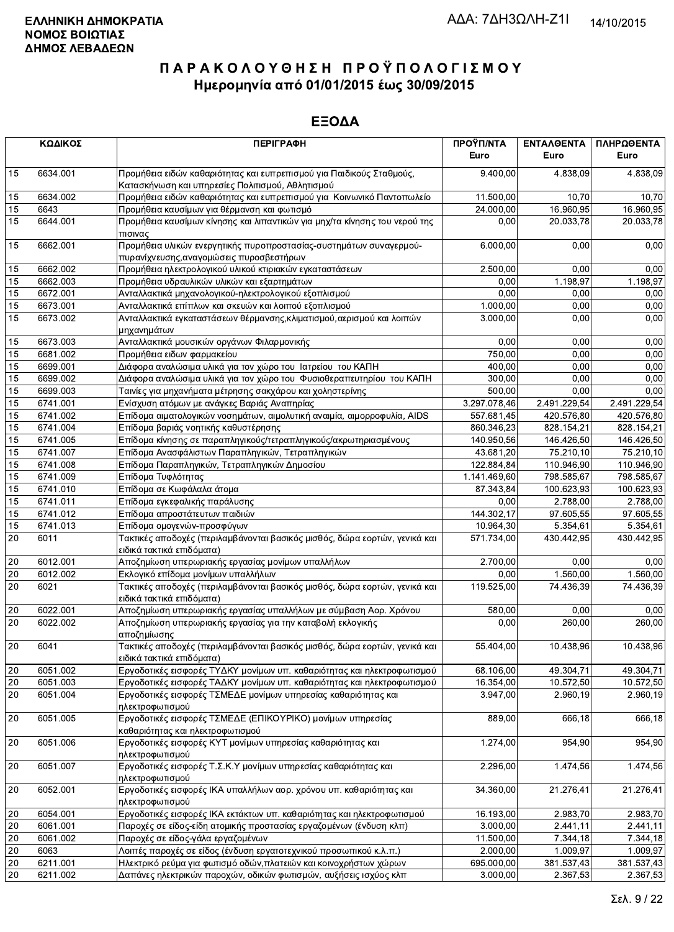|                 | ΚΩΔΙΚΟΣ  | <b>ПЕРІГРАФН</b>                                                                                                           | ΠΡΟΫΠ/ΝΤΑ<br>Euro | ΕΝΤΑΛΘΕΝΤΑ<br>Euro | ΠΛΗΡΩΘΕΝΤΑ<br>Euro |
|-----------------|----------|----------------------------------------------------------------------------------------------------------------------------|-------------------|--------------------|--------------------|
| 15              | 6634.001 | Προμήθεια ειδών καθαριότητας και ευπρεπισμού για Παιδικούς Σταθμούς,                                                       | 9.400,00          | 4.838,09           | 4.838,09           |
| 15              | 6634.002 | Κατασκήνωση και υπηρεσίες Πολιτισμού, Αθλητισμού<br>Προμήθεια ειδών καθαριότητας και ευπρεπισμού για Κοινωνικό Παντοπωλείο | 11.500,00         | 10,70              | 10,70              |
| 15              | 6643     | Προμήθεια καυσίμων για θέρμανση και φωτισμό                                                                                | 24.000,00         | 16.960,95          | 16.960,95          |
| 15              | 6644.001 | Προμήθεια καυσίμων κίνησης και λιπαντικών για μηχ/τα κίνησης του νερού της                                                 | 0,00              | 20.033,78          | 20.033,78          |
| 15              | 6662.001 | πισινας<br>Προμήθεια υλικών ενεργητικής πυροπροστασίας-συστημάτων συναγερμού-                                              | 6.000,00          | 0,00               | 0,00               |
|                 |          | πυρανίχνευσης, αναγομώσεις πυροσβεστήρων                                                                                   |                   |                    |                    |
| 15              | 6662.002 | Προμήθεια ηλεκτρολογικού υλικού κτιριακών εγκαταστάσεων                                                                    | 2.500,00          | 0,00               | 0,00               |
| 15              | 6662.003 | Προμήθεια υδραυλικών υλικών και εξαρτημάτων                                                                                | 0,00              | 1.198,97           | 1.198,97           |
| 15              | 6672.001 | Ανταλλακτικά μηχανολογικού-ηλεκτρολογικού εξοπλισμού                                                                       | 0,00              | 0,00               | 0,00               |
| 15              | 6673.001 | Ανταλλακτικά επίπλων και σκευών και λοιπού εξοπλισμού                                                                      | 1.000,00          | 0,00               | 0,00               |
| 15              | 6673.002 | Ανταλλακτικά εγκαταστάσεων θέρμανσης, κλιματισμού, αερισμού και λοιπών<br>μηχανημάτων                                      | 3.000,00          | 0,00               | 0,00               |
| 15              | 6673.003 | Ανταλλακτικά μουσικών οργάνων Φιλαρμονικής                                                                                 | 0,00              | 0,00               | 0,00               |
| 15              | 6681.002 | Προμήθεια ειδων φαρμακείου                                                                                                 | 750,00            | 0.00               | 0,00               |
| 15              | 6699.001 | Διάφορα αναλώσιμα υλικά για τον χώρο του Ιατρείου του ΚΑΠΗ                                                                 | 400,00            | 0,00               | 0,00               |
| 15              | 6699.002 | Διάφορα αναλώσιμα υλικά για τον χώρο του Φυσιοθεραπευτηρίου του ΚΑΠΗ                                                       | 300,00            | 0,00               | 0,00               |
| 15              | 6699.003 | Ταινίες για μηχανήματα μέτρησης σακχάρου και χοληστερίνης                                                                  | 500,00            | 0,00               | 0,00               |
| 15              | 6741.001 | Ενίσχυση ατόμων με ανάγκες Βαριάς Αναπηρίας                                                                                | 3.297.078,46      | 2.491.229,54       | 2.491.229,54       |
| 15              | 6741.002 | Επίδομα αιματολογικών νοσημάτων, αιμολυτική αναιμία, αιμορροφυλία, AIDS                                                    | 557.681,45        | 420.576,80         | 420.576,80         |
| 15              | 6741.004 | Επίδομα βαριάς νοητικής καθυστέρησης                                                                                       | 860.346,23        | 828.154,21         | 828.154,21         |
| 15              | 6741.005 | Επίδομα κίνησης σε παραπληγικούς/τετραπληγικούς/ακρωτηριασμένους                                                           | 140.950,56        | 146.426,50         | 146.426,50         |
| 15              | 6741.007 | Επίδομα Ανασφάλιστων Παραπληγικών, Τετραπληγικών                                                                           | 43.681,20         | 75.210,10          | 75.210,10          |
| 15              | 6741.008 | Επίδομα Παραπληγικών, Τετραπληγικών Δημοσίου                                                                               | 122.884,84        | 110.946,90         | 110.946,90         |
| 15              | 6741.009 | Επίδομα Τυφλότητας                                                                                                         | 1.141.469,60      | 798.585,67         | 798.585,67         |
| 15              | 6741.010 | Επίδομα σε Κωφάλαλα άτομα                                                                                                  | 87.343,84         | 100.623,93         | 100.623,93         |
| 15              | 6741.011 | Επίδομα εγκεφαλικής παράλυσης                                                                                              | 0,00              | 2.788,00           | 2.788,00           |
| 15              | 6741.012 | Επίδομα απροστάτευτων παιδιών                                                                                              | 144.302,17        | 97.605,55          | 97.605,55          |
| 15              | 6741.013 | Επίδομα ομογενών-προσφύγων                                                                                                 | 10.964,30         | 5.354,61           | 5.354,61           |
| $\overline{20}$ | 6011     | Τακτικές αποδοχές (περιλαμβάνονται βασικός μισθός, δώρα εορτών, γενικά και<br>ειδικά τακτικά επιδόματα)                    | 571.734,00        | 430.442,95         | 430.442,95         |
| 20              | 6012.001 | Αποζημίωση υπερωριακής εργασίας μονίμων υπαλλήλων                                                                          | 2.700,00          | 0,00               | 0,00               |
| 20              | 6012.002 | Εκλογικό επίδομα μονίμων υπαλλήλων                                                                                         | 0,00              | 1.560,00           | 1.560,00           |
| 20              | 6021     | Τακτικές αποδοχές (περιλαμβάνονται βασικός μισθός, δώρα εορτών, γενικά και<br>ειδικά τακτικά επιδόματα)                    | 119.525,00        | 74.436,39          | 74.436,39          |
| 20              | 6022.001 | Αποζημίωση υπερωριακής εργασίας υπαλλήλων με σύμβαση Αορ. Χρόνου                                                           | 580,00            | 0,00               | 0,00               |
| 20              | 6022.002 | Αποζημίωση υπερωριακής εργασίας για την καταβολή εκλογικής                                                                 | 0,00              | 260,00             | 260,00             |
| 20              | 6041     | αποζημίωσης<br>Τακτικές αποδοχές (περιλαμβάνονται βασικός μισθός, δώρα εορτών, γενικά και                                  | 55.404,00         | 10.438,96          | 10.438,96          |
|                 |          | ειδικά τακτικά επιδόματα)                                                                                                  |                   |                    |                    |
| $20\,$          | 6051.002 | Εργοδοτικές εισφορές ΤΥΔΚΥ μονίμων υπ. καθαριότητας και ηλεκτροφωτισμού                                                    | 68.106,00         | 49.304,71          | 49.304.71          |
| $20\,$          | 6051.003 | Εργοδοτικές εισφορές ΤΑΔΚΥ μονίμων υπ. καθαριότητας και ηλεκτροφωτισμού                                                    | 16.354,00         | 10.572,50          | 10.572,50          |
| 20              | 6051.004 | Εργοδοτικές εισφορές ΤΣΜΕΔΕ μονίμων υπηρεσίας καθαριότητας και<br>ηλεκτροφωτισμού                                          | 3.947,00          | 2.960,19           | 2.960,19           |
| 20              | 6051.005 | Εργοδοτικές εισφορές ΤΣΜΕΔΕ (ΕΠΙΚΟΥΡΙΚΟ) μονίμων υπηρεσίας<br>καθαριότητας και ηλεκτροφωτισμού                             | 889,00            | 666,18             | 666,18             |
| 20              | 6051.006 | Εργοδοτικές εισφορές ΚΥΤ μονίμων υπηρεσίας καθαριότητας και<br>ηλεκτροφωτισμού                                             | 1.274,00          | 954,90             | 954,90             |
| 20              | 6051.007 | Εργοδοτικές εισφορές Τ.Σ.Κ.Υ μονίμων υπηρεσίας καθαριότητας και<br>ηλεκτροφωτισμού                                         | 2.296,00          | 1.474,56           | 1.474,56           |
| 20              | 6052.001 | Εργοδοτικές εισφορές ΙΚΑ υπαλλήλων αορ. χρόνου υπ. καθαριότητας και                                                        | 34.360,00         | 21.276,41          | 21.276,41          |
| 20              | 6054.001 | ηλεκτροφωτισμού<br>Εργοδοτικές εισφορές ΙΚΑ εκτάκτων υπ. καθαριότητας και ηλεκτροφωτισμού                                  | 16.193,00         | 2.983,70           | 2.983,70           |
| 20              | 6061.001 | Παροχές σε είδος-είδη ατομικής προστασίας εργαζομένων (ένδυση κλπ)                                                         | 3.000,00          | 2.441,11           | 2.441,11           |
| $20\,$          | 6061.002 | Παροχές σε είδος-γάλα εργαζομένων                                                                                          | 11.500,00         | 7.344,18           | 7.344,18           |
| $20\,$          | 6063     | Λοιπές παροχές σε είδος (ένδυση εργατοτεχνικού προσωπικού κ.λ.π.)                                                          | 2.000,00          | 1.009,97           | 1.009,97           |
| 20              | 6211.001 | Ηλεκτρικό ρεύμα για φωτισμό οδών, πλατειών και κοινοχρήστων χώρων                                                          | 695.000,00        | 381.537,43         | 381.537,43         |
| 20              | 6211.002 | Δαπάνες ηλεκτρικών παροχών, οδικών φωτισμών, αυξήσεις ισχύος κλπ                                                           | 3.000,00          | 2.367,53           | 2.367,53           |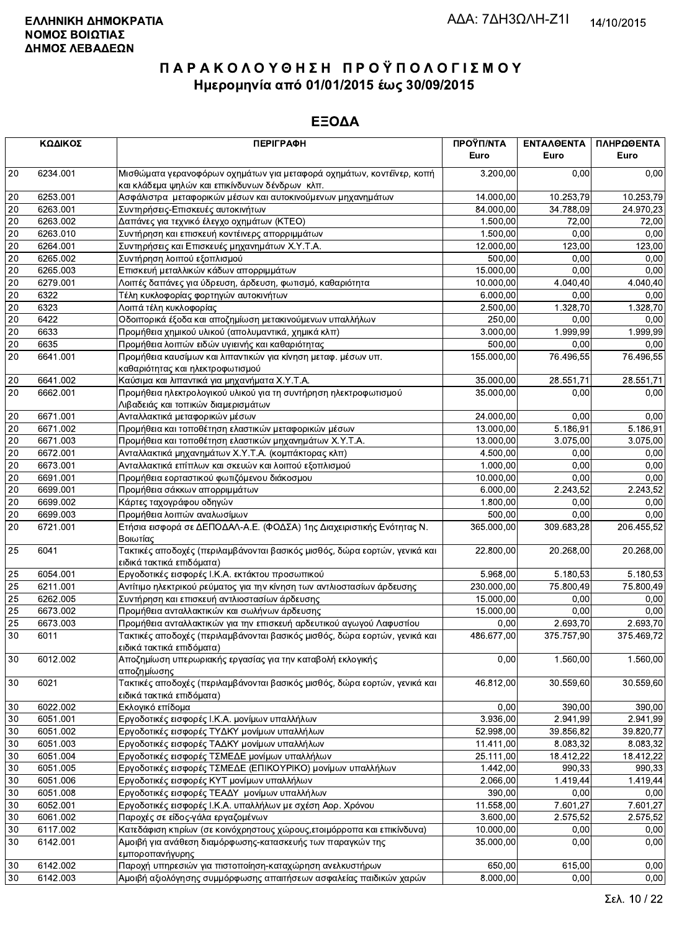|    | ΚΩΔΙΚΟΣ  | <b>ПЕРІГРАФН</b>                                                                                                        | ΠΡΟΫΠ/ΝΤΑ<br>Euro | ΕΝΤΑΛΘΕΝΤΑ<br>Euro | ΠΛΗΡΩΘΕΝΤΑ<br>Euro |
|----|----------|-------------------------------------------------------------------------------------------------------------------------|-------------------|--------------------|--------------------|
|    |          |                                                                                                                         |                   |                    |                    |
| 20 | 6234.001 | Μισθώματα γερανοφόρων οχημάτων για μεταφορά οχημάτων, κοντέϊνερ, κοπή<br>και κλάδεμα ψηλών και επικίνδυνων δένδρων κλπ. | 3.200,00          | 0.00               | 0,00               |
| 20 | 6253.001 | Ασφάλιστρα μεταφορικών μέσων και αυτοκινούμενων μηχανημάτων                                                             | 14.000,00         | 10.253,79          | 10.253,79          |
| 20 | 6263.001 | Συντηρήσεις-Επισκευές αυτοκινήτων                                                                                       | 84.000,00         | 34.788,09          | 24.970,23          |
| 20 | 6263.002 | Δαπάνες για τεχνικό έλεγχο οχημάτων (ΚΤΕΟ)                                                                              | 1.500,00          | 72,00              | 72,00              |
| 20 | 6263.010 | Συντήρηση και επισκευή κοντέινερς απορριμμάτων                                                                          | 1.500,00          | 0,00               | 0,00               |
| 20 | 6264.001 | Συντηρήσεις και Επισκευές μηχανημάτων Χ.Υ.Τ.Α.                                                                          | 12.000,00         | 123,00             | 123,00             |
| 20 | 6265.002 | Συντήρηση λοιπού εξοπλισμού                                                                                             | 500,00            | 0,00               | 0,00               |
| 20 | 6265.003 | Επισκευή μεταλλικών κάδων απορριμμάτων                                                                                  | 15.000,00         | 0,00               | 0,00               |
| 20 | 6279.001 | Λοιπές δαπάνες για ύδρευση, άρδευση, φωτισμό, καθαριότητα                                                               | 10.000,00         | 4.040,40           | 4.040,40           |
| 20 | 6322     | Τέλη κυκλοφορίας φορτηγών αυτοκινήτων                                                                                   | 6.000,00          | 0,00               | 0,00               |
| 20 | 6323     | Λοιπά τέλη κυκλοφορίας                                                                                                  | 2.500,00          | 1.328,70           | 1.328,70           |
| 20 | 6422     | Οδοιπορικά έξοδα και αποζημίωση μετακινούμενων υπαλλήλων                                                                | 250,00            | 0,00               | 0,00               |
| 20 | 6633     | Προμήθεια χημικού υλικού (απολυμαντικά, χημικά κλπ)                                                                     | 3.000,00          | 1.999,99           | 1.999,99           |
| 20 | 6635     | Προμήθεια λοιπών ειδών υγιεινής και καθαριότητας                                                                        | 500,00            | 0,00               | 0.00               |
| 20 |          |                                                                                                                         |                   |                    |                    |
|    | 6641.001 | Προμήθεια καυσίμων και λιπαντικών για κίνηση μεταφ. μέσων υπ.                                                           | 155.000,00        | 76.496,55          | 76.496,55          |
|    |          | καθαριότητας και ηλεκτροφωτισμού                                                                                        |                   | 28.551,71          |                    |
| 20 | 6641.002 | Καύσιμα και λιπαντικά για μηχανήματα Χ.Υ.Τ.Α.                                                                           | 35.000,00         |                    | 28.551,71          |
| 20 | 6662.001 | Προμήθεια ηλεκτρολογικού υλικού για τη συντήρηση ηλεκτροφωτισμού<br>Λιβαδειάς και τοπικών διαμερισμάτων                 | 35.000,00         | 0.00               | 0,00               |
| 20 | 6671.001 | Ανταλλακτικά μεταφορικών μέσων                                                                                          | 24.000,00         | 0,00               | 0,00               |
| 20 | 6671.002 | Προμήθεια και τοποθέτηση ελαστικών μεταφορικών μέσων                                                                    | 13.000,00         | 5.186,91           | 5.186,91           |
| 20 | 6671.003 | Προμήθεια και τοποθέτηση ελαστικών μηχανημάτων Χ.Υ.Τ.Α.                                                                 | 13.000,00         | 3.075,00           | 3.075,00           |
| 20 | 6672.001 | Ανταλλακτικά μηχανημάτων Χ.Υ.Τ.Α. (κομπάκτορας κλπ)                                                                     | 4.500,00          | 0,00               | 0,00               |
| 20 | 6673.001 | Ανταλλακτικά επίπλων και σκευών και λοιπού εξοπλισμού                                                                   | 1.000,00          | 0,00               | 0,00               |
| 20 | 6691.001 | Προμήθεια εορταστικού φωτιζόμενου διάκοσμου                                                                             | 10.000,00         | 0,00               | 0,00               |
| 20 | 6699.001 | Προμήθεια σάκκων απορριμμάτων                                                                                           | 6.000,00          | 2.243,52           | 2.243,52           |
| 20 | 6699.002 | Κάρτες ταχογράφου οδηγών                                                                                                | 1.800,00          | 0,00               | 0,00               |
| 20 | 6699.003 | Προμήθεια λοιπών αναλωσίμων                                                                                             | 500,00            | 0,00               | 0,00               |
| 20 | 6721.001 | Ετήσια εισφορά σε ΔΕΠΟΔΑΛ-Α.Ε. (ΦΟΔΣΑ) 1ης Διαχειριστικής Ενότητας Ν.<br>Βοιωτίας                                       | 365.000,00        | 309.683,28         | 206.455,52         |
| 25 | 6041     | Τακτικές αποδοχές (περιλαμβάνονται βασικός μισθός, δώρα εορτών, γενικά και<br>ειδικά τακτικά επιδόματα)                 | 22.800,00         | 20.268,00          | 20.268,00          |
| 25 | 6054.001 | Εργοδοτικές εισφορές Ι.Κ.Α. εκτάκτου προσωπικού                                                                         | 5.968,00          | 5.180,53           | 5.180,53           |
| 25 | 6211.001 | Αντίτιμο ηλεκτρικού ρεύματος για την κίνηση των αντλιοστασίων άρδευσης                                                  | 230.000,00        | 75.800,49          | 75.800,49          |
| 25 | 6262.005 | Συντήρηση και επισκευή αντλιοστασίων άρδευσης                                                                           | 15.000,00         | 0.00               | 0,00               |
| 25 | 6673.002 | Προμήθεια ανταλλακτικών και σωλήνων άρδευσης                                                                            | 15.000,00         | 0,00               | 0,00               |
| 25 | 6673.003 | Προμήθεια ανταλλακτικών για την επισκευή αρδευτικού αγωγού Λαφυστίου                                                    | 0,00              | 2.693,70           | 2.693,70           |
| 30 | 6011     | Τακτικές αποδοχές (περιλαμβάνονται βασικός μισθός, δώρα εορτών, γενικά και<br>ειδικά τακτικά επιδόματα)                 | 486.677,00        | 375.757,90         | 375.469,72         |
| 30 | 6012.002 | Αποζημίωση υπερωριακής εργασίας για την καταβολή εκλογικής<br>αποζημίωσης                                               | 0,00              | 1.560,00           | 1.560,00           |
| 30 | 6021     | Τακτικές αποδοχές (περιλαμβάνονται βασικός μισθός, δώρα εορτών, γενικά και<br>ειδικά τακτικά επιδόματα)                 | 46.812,00         | 30.559,60          | 30.559,60          |
| 30 | 6022.002 | Εκλογικό επίδομα                                                                                                        | 0,00              | 390,00             | 390,00             |
| 30 | 6051.001 | Εργοδοτικές εισφορές Ι.Κ.Α. μονίμων υπαλλήλων                                                                           | 3.936,00          | 2.941,99           | 2.941,99           |
| 30 | 6051.002 | Εργοδοτικές εισφορές ΤΥΔΚΥ μονίμων υπαλλήλων                                                                            | 52.998,00         | 39.856,82          | 39.820.77          |
| 30 | 6051.003 | Εργοδοτικές εισφορές ΤΑΔΚΥ μονίμων υπαλλήλων                                                                            | 11.411,00         | 8.083,32           | 8.083,32           |
| 30 | 6051.004 | Εργοδοτικές εισφορές ΤΣΜΕΔΕ μονίμων υπαλλήλων                                                                           | 25.111,00         | 18.412,22          | 18.412,22          |
| 30 | 6051.005 | Εργοδοτικές εισφορές ΤΣΜΕΔΕ (ΕΠΙΚΟΥΡΙΚΟ) μονίμων υπαλλήλων                                                              | 1.442,00          | 990,33             | 990,33             |
| 30 | 6051.006 | Εργοδοτικές εισφορές ΚΥΤ μονίμων υπαλλήλων                                                                              | 2.066,00          | 1.419,44           | 1.419,44           |
| 30 | 6051.008 | Εργοδοτικές εισφορές ΤΕΑΔΥ μονίμων υπαλλήλων                                                                            | 390,00            | 0,00               | 0,00               |
| 30 | 6052.001 | Εργοδοτικές εισφορές Ι.Κ.Α. υπαλλήλων με σχέση Αορ. Χρόνου                                                              | 11.558,00         | 7.601,27           | 7.601,27           |
| 30 | 6061.002 | Παροχές σε είδος-γάλα εργαζομένων                                                                                       | 3.600,00          | 2.575,52           | 2.575,52           |
| 30 | 6117.002 | Κατεδάφιση κτιρίων (σε κοινόχρηστους χώρους, ετοιμόρροπα και επικίνδυνα)                                                | 10.000,00         | 0,00               | 0,00               |
| 30 | 6142.001 | Αμοιβή για ανάθεση διαμόρφωσης-κατασκευής των παραγκών της                                                              | 35.000,00         | 0,00               | 0,00               |
|    |          | εμποροπανήγυρης                                                                                                         |                   |                    |                    |
| 30 | 6142.002 | Παροχή υπηρεσιών για πιστοποίηση-καταχώρηση ανελκυστήρων                                                                | 650,00            | 615,00             | 0,00               |
| 30 | 6142.003 | Αμοιβή αξιολόγησης συμμόρφωσης απαιτήσεων ασφαλείας παιδικών χαρών                                                      | 8.000,00          | 0,00               | 0,00               |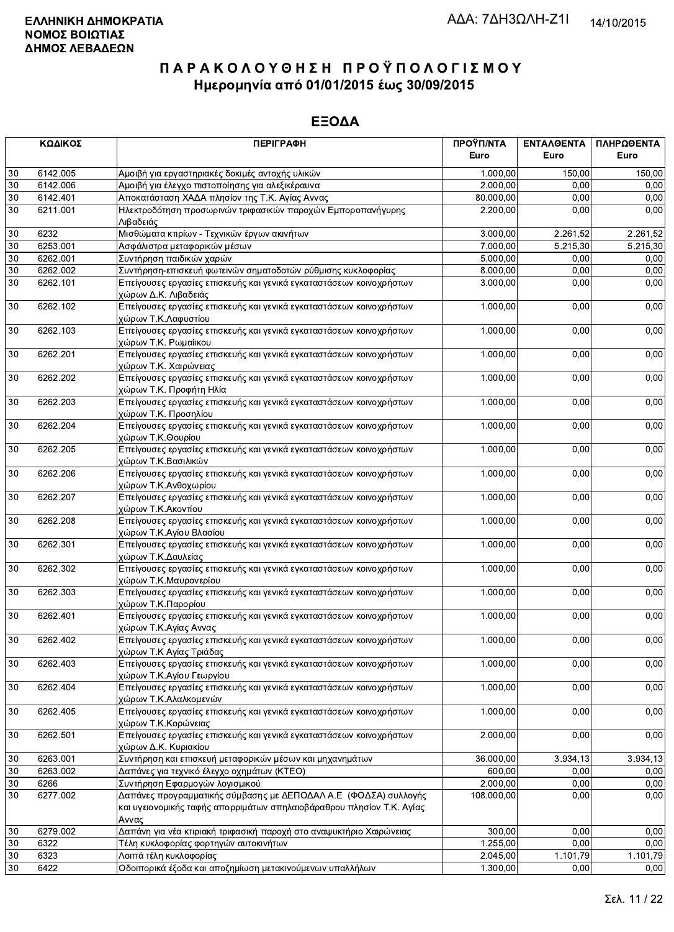|        | ΚΩΔΙΚΟΣ  | <b>ПЕРІГРАФН</b>                                                                                                                                  | ΠΡΟΫΠ/ΝΤΑ<br>Euro | ΕΝΤΑΛΘΕΝΤΑ<br>Euro | ΠΛΗΡΩΘΕΝΤΑ<br>Euro |
|--------|----------|---------------------------------------------------------------------------------------------------------------------------------------------------|-------------------|--------------------|--------------------|
| 30     | 6142.005 | Αμοιβή για εργαστηριακές δοκιμές αντοχής υλικών                                                                                                   | 1.000,00          | 150,00             | 150,00             |
| 30     | 6142.006 | Αμοιβή για έλεγχο πιστοποίησης για αλεξικέραυνα                                                                                                   | 2.000,00          | 0,00               | 0,00               |
| 30     | 6142.401 | Αποκατάσταση ΧΑΔΑ πλησίον της Τ.Κ. Αγίας Αννας                                                                                                    | 80.000,00         | 0,00               | 0,00               |
| 30     | 6211.001 | Ηλεκτροδότηση προσωρινών τριφασικών παροχών Εμποροπανήγυρης<br>Λιβαδειάς                                                                          | 2.200,00          | 0,00               | 0,00               |
| $30\,$ | 6232     | Μισθώματα κτιρίων - Τεχνικών έργων ακινήτων                                                                                                       | 3.000,00          | 2.261,52           | 2.261,52           |
| 30     | 6253.001 | Ασφάλιστρα μεταφορικών μέσων                                                                                                                      | 7.000,00          | 5.215,30           | 5.215,30           |
| $30\,$ | 6262.001 | Συντήρηση παιδικών χαρών                                                                                                                          | 5.000,00          | 0,00               | 0,00               |
| $30\,$ | 6262.002 | Συντήρηση-επισκευή φωτεινών σηματοδοτών ρύθμισης κυκλοφορίας                                                                                      | 8.000,00          | 0,00               | 0,00               |
| 30     | 6262.101 | Επείγουσες εργασίες επισκευής και γενικά εγκαταστάσεων κοινοχρήστων<br>χώρων Δ.Κ. Λιβαδειάς                                                       | 3.000,00          | 0,00               | 0,00               |
| 30     | 6262.102 | Επείγουσες εργασίες επισκευής και γενικά εγκαταστάσεων κοινοχρήστων<br>χώρων Τ.Κ.Λαφυστίου                                                        | 1.000,00          | 0,00               | 0,00               |
| 30     | 6262.103 | Επείγουσες εργασίες επισκευής και γενικά εγκαταστάσεων κοινοχρήστων<br>χώρων Τ.Κ. Ρωμαίικου                                                       | 1.000,00          | 0,00               | 0,00               |
| 30     | 6262.201 | Επείγουσες εργασίες επισκευής και γενικά εγκαταστάσεων κοινοχρήστων<br>χώρων Τ.Κ. Χαιρώνειας                                                      | 1.000,00          | 0,00               | 0,00               |
| 30     | 6262.202 | Επείγουσες εργασίες επισκευής και γενικά εγκαταστάσεων κοινοχρήστων<br>χώρων Τ.Κ. Προφήτη Ηλία                                                    | 1.000,00          | 0,00               | 0,00               |
| 30     | 6262.203 | Επείγουσες εργασίες επισκευής και γενικά εγκαταστάσεων κοινοχρήστων<br>χώρων Τ.Κ. Προσηλίου                                                       | 1.000,00          | 0,00               | 0,00               |
| 30     | 6262.204 | Επείγουσες εργασίες επισκευής και γενικά εγκαταστάσεων κοινοχρήστων<br>χώρων Τ.Κ.Θουρίου                                                          | 1.000,00          | 0,00               | 0,00               |
| 30     | 6262.205 | Επείγουσες εργασίες επισκευής και γενικά εγκαταστάσεων κοινοχρήστων<br>χώρων Τ.Κ.Βασιλικών                                                        | 1.000,00          | 0,00               | 0,00               |
| 30     | 6262.206 | Επείγουσες εργασίες επισκευής και γενικά εγκαταστάσεων κοινοχρήστων<br>χώρων Τ.Κ.Ανθοχωρίου                                                       | 1.000,00          | 0,00               | 0,00               |
| 30     | 6262.207 | Επείγουσες εργασίες επισκευής και γενικά εγκαταστάσεων κοινοχρήστων<br>χώρων Τ.Κ.Ακοντίου                                                         | 1.000,00          | 0,00               | 0,00               |
| 30     | 6262.208 | Επείγουσες εργασίες επισκευής και γενικά εγκαταστάσεων κοινοχρήστων<br>χώρων Τ.Κ.Αγίου Βλασίου                                                    | 1.000,00          | 0,00               | 0,00               |
| 30     | 6262.301 | Επείγουσες εργασίες επισκευής και γενικά εγκαταστάσεων κοινοχρήστων<br>χώρων Τ.Κ.Δαυλείας                                                         | 1.000,00          | 0,00               | 0,00               |
| 30     | 6262.302 | Επείγουσες εργασίες επισκευής και γενικά εγκαταστάσεων κοινοχρήστων<br>χώρων Τ.Κ.Μαυρονερίου                                                      | 1.000,00          | 0,00               | 0,00               |
| 30     | 6262.303 | Επείγουσες εργασίες επισκευής και γενικά εγκαταστάσεων κοινοχρήστων<br>χώρων Τ.Κ.Παρορίου                                                         | 1.000,00          | 0,00               | 0,00               |
| 30     | 6262.401 | Επείγουσες εργασίες επισκευής και γενικά εγκαταστάσεων κοινοχρήστων<br>χώρων Τ.Κ.Αγίας Αννας                                                      | 1.000,00          | 0,00               | 0,00               |
| 30     | 6262.402 | Επείγουσες εργασίες επισκευής και γενικά εγκαταστάσεων κοινοχρήστων<br>χώρων Τ.Κ Αγίας Τριάδας                                                    | 1.000,00          | 0,00               | 0,00               |
| 30     | 6262.403 | Επείγουσες εργασίες επισκευής και γενικά εγκαταστάσεων κοινοχρήστων<br>χώρων Τ.Κ.Αγίου Γεωργίου                                                   | 1.000,00          | 0,00               | 0,00               |
| 30     | 6262.404 | Επείγουσες εργασίες επισκευής και γενικά εγκαταστάσεων κοινοχρήστων<br>χώρων Τ.Κ.Αλαλκομενών                                                      | 1.000,00          | 0,00               | 0,00               |
| 30     | 6262.405 | Επείγουσες εργασίες επισκευής και γενικά εγκαταστάσεων κοινοχρήστων<br>χώρων Τ.Κ.Κορώνειας                                                        | 1.000,00          | 0,00               | 0,00               |
| 30     | 6262.501 | Επείγουσες εργασίες επισκευής και γενικά εγκαταστάσεων κοινοχρήστων<br>χώρων Δ.Κ. Κυριακίου                                                       | 2.000,00          | 0,00               | 0,00               |
| 30     | 6263.001 | Συντήρηση και επισκευή μεταφορικών μέσων και μηχανημάτων                                                                                          | 36.000,00         | 3.934,13           | 3.934,13           |
| 30     | 6263.002 | Δαπάνες για τεχνικό έλεγχο οχημάτων (ΚΤΕΟ)                                                                                                        | 600,00            | 0,00               | 0,00               |
| 30     | 6266     | Συντήρηση Εφαρμογών λογισμικού                                                                                                                    | 2.000,00          | 0,00               | 0,00               |
| 30     | 6277.002 | Δαπάνες προγραμματικής σύμβασης με ΔΕΠΟΔΑΛ Α.Ε (ΦΟΔΣΑ) συλλογής<br>και υγειονομικής ταφής απορριμάτων σπηλαιοβάραθρου πλησίον Τ.Κ. Αγίας<br>Αννας | 108.000,00        | 0,00               | 0,00               |
| 30     | 6279.002 | Δαπάνη για νέα κτιριακή τριφασική παροχή στο αναψυκτήριο Χαιρώνειας                                                                               | 300,00            | 0,00               | 0,00               |
| 30     | 6322     | Τέλη κυκλοφορίας φορτηγών αυτοκινήτων                                                                                                             | 1.255,00          | 0,00               | 0,00               |
| 30     | 6323     | Λοιπά τέλη κυκλοφορίας                                                                                                                            | 2.045,00          | 1.101,79           | 1.101,79           |
| 30     | 6422     | Οδοιπορικά έξοδα και αποζημίωση μετακινούμενων υπαλλήλων                                                                                          | 1.300,00          | 0,00               | 0,00               |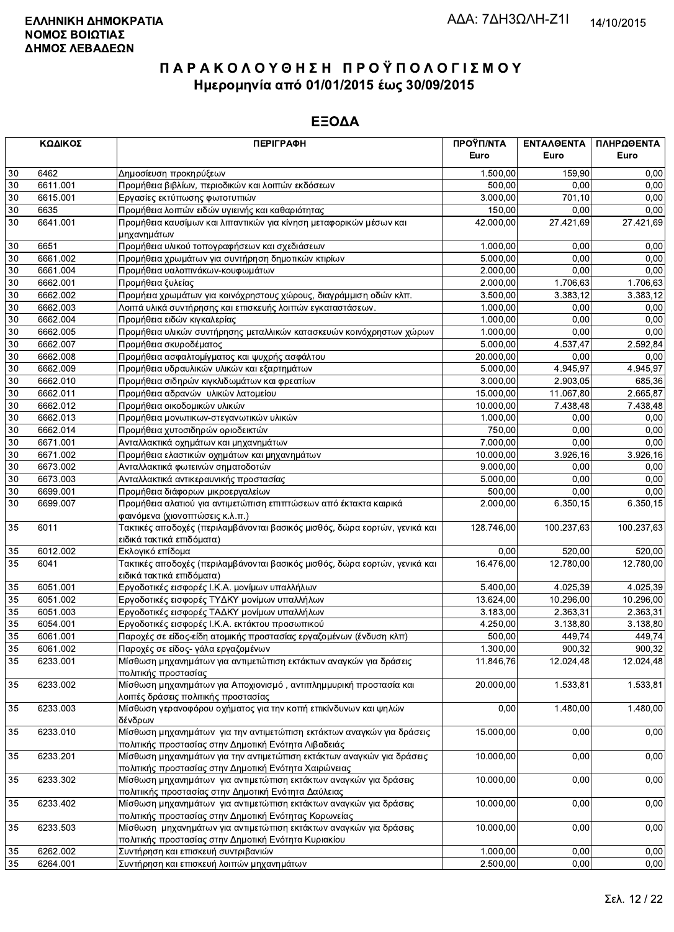|          | ΚΩΔΙΚΟΣ              | <b>ПЕРІГРАФН</b>                                                                                                               | ΠΡΟΫΠ/ΝΤΑ            | <b>ENTAAGENTA</b> | ΠΛΗΡΩΘΕΝΤΑ   |
|----------|----------------------|--------------------------------------------------------------------------------------------------------------------------------|----------------------|-------------------|--------------|
|          |                      |                                                                                                                                | Euro                 | Euro              | Euro         |
| 30       | 6462                 | Δημοσίευση προκηρύξεων                                                                                                         | 1.500,00             | 159.90            | 0,00         |
| 30       | 6611.001             | Προμήθεια βιβλίων, περιοδικών και λοιπών εκδόσεων                                                                              | 500,00               | 0.00              | 0,00         |
| 30       | 6615.001             | Εργασίες εκτύπωσης φωτοτυπιών                                                                                                  | 3.000,00             | 701,10            | 0,00         |
| 30       | 6635                 | Προμήθεια λοιπών ειδών υγιεινής και καθαριότητας                                                                               | 150,00               | 0,00              | 0,00         |
| 30       | 6641.001             | Προμήθεια καυσίμων και λιπαντικών για κίνηση μεταφορικών μέσων και                                                             | 42.000,00            | 27.421,69         | 27.421,69    |
|          |                      | μηχανημάτων                                                                                                                    |                      |                   |              |
| 30       | 6651                 | Προμήθεια υλικού τοπογραφήσεων και σχεδιάσεων                                                                                  | 1.000,00             | 0,00              | 0,00         |
| 30       | 6661.002             | Προμήθεια χρωμάτων για συντήρηση δημοτικών κτιρίων                                                                             | 5.000,00             | 0.00              | 0,00         |
| 30       | 6661.004             | Προμήθεια υαλοπινάκων-κουφωμάτων                                                                                               | 2.000,00             | 0,00              | 0,00         |
| 30       | 6662.001             | Προμήθεια ξυλείας                                                                                                              | 2.000,00             | 1.706,63          | 1.706,63     |
| 30<br>30 | 6662.002             | Προμήεια χρωμάτων για κοινόχρηστους χώρους, διαγράμμιση οδών κλπ.                                                              | 3.500,00             | 3.383,12          | 3.383,12     |
| 30       | 6662.003<br>6662.004 | Λοιπά υλικά συντήρησης και επισκευής λοιπών εγκαταστάσεων.                                                                     | 1.000,00             | 0,00<br>0,00      | 0,00<br>0,00 |
| 30       | 6662.005             | Προμήθεια ειδών κιγκαλερίας                                                                                                    | 1.000,00<br>1.000,00 | 0,00              | 0,00         |
| 30       | 6662.007             | Προμήθεια υλικών συντήρησης μεταλλικών κατασκευών κοινόχρηστων χώρων<br>Προμήθεια σκυροδέματος                                 | 5.000,00             | 4.537,47          | 2.592,84     |
| 30       | 6662.008             | Προμήθεια ασφαλτομίγματος και ψυχρής ασφάλτου                                                                                  | 20.000,00            | 0,00              | 0,00         |
| 30       | 6662.009             | Προμήθεια υδραυλικών υλικών και εξαρτημάτων                                                                                    | 5.000,00             | 4.945,97          | 4.945,97     |
| 30       | 6662.010             | Προμήθεια σιδηρών κιγκλιδωμάτων και φρεατίων                                                                                   | 3.000,00             | 2.903,05          | 685,36       |
| 30       | 6662.011             | Προμήθεια αδρανών υλικών λατομείου                                                                                             | 15.000,00            | 11.067,80         | 2.665,87     |
| 30       | 6662.012             | Προμήθεια οικοδομικών υλικών                                                                                                   | 10.000,00            | 7.438,48          | 7.438,48     |
| 30       | 6662.013             | Προμήθεια μονωτικων-στεγανωτικών υλικών                                                                                        | 1.000,00             | 0,00              | 0,00         |
| 30       | 6662.014             | Προμήθεια χυτοσιδηρών οριοδεικτών                                                                                              | 750,00               | 0,00              | 0,00         |
| 30       | 6671.001             | Ανταλλακτικά οχημάτων και μηχανημάτων                                                                                          | 7.000,00             | 0,00              | 0,00         |
| 30       | 6671.002             | Προμήθεια ελαστικών οχημάτων και μηχανημάτων                                                                                   | 10.000,00            | 3.926, 16         | 3.926,16     |
| 30       | 6673.002             | Ανταλλακτικά φωτεινών σηματοδοτών                                                                                              | 9.000,00             | 0,00              | 0,00         |
| $30\,$   | 6673.003             | Ανταλλακτικά αντικεραυνικής προστασίας                                                                                         | 5.000,00             | 0,00              | 0,00         |
| 30       | 6699.001             | Προμήθεια διάφορων μικροεργαλείων                                                                                              | 500,00               | 0,00              | 0,00         |
| 30       | 6699.007             | Προμήθεια αλατιού για αντιμετώπιση επιπτώσεων από έκτακτα καιρικά                                                              | 2.000,00             | 6.350, 15         | 6.350,15     |
|          |                      | φαινόμενα (χιονοπτώσεις κ.λ.π.)                                                                                                |                      |                   |              |
| 35       | 6011                 | Τακτικές αποδοχές (περιλαμβάνονται βασικός μισθός, δώρα εορτών, γενικά και                                                     | 128.746,00           | 100.237,63        | 100.237,63   |
|          |                      | ειδικά τακτικά επιδόματα)                                                                                                      |                      |                   |              |
| 35       | 6012.002             | Εκλογικό επίδομα                                                                                                               | 0.00                 | 520,00            | 520,00       |
| 35       | 6041                 | Τακτικές αποδοχές (περιλαμβάνονται βασικός μισθός, δώρα εορτών, γενικά και                                                     | 16.476,00            | 12.780,00         | 12.780,00    |
|          |                      | ειδικά τακτικά επιδόματα)                                                                                                      |                      |                   |              |
| 35       | 6051.001             | Εργοδοτικές εισφορές Ι.Κ.Α. μονίμων υπαλλήλων                                                                                  | 5.400,00             | 4.025,39          | 4.025,39     |
| 35       | 6051.002             | Εργοδοτικές εισφορές ΤΥΔΚΥ μονίμων υπαλλήλων                                                                                   | 13.624,00            | 10.296,00         | 10.296,00    |
| 35       | 6051.003             | Εργοδοτικές εισφορές ΤΑΔΚΥ μονίμων υπαλλήλων                                                                                   | 3.183,00             | 2.363,31          | 2.363,31     |
| 35       | 6054.001             | Εργοδοτικές εισφορές Ι.Κ.Α. εκτάκτου προσωπικού                                                                                | 4.250,00             | 3.138,80          | 3.138,80     |
| 35       | 6061.001             | Παροχές σε είδος-είδη ατομικής προστασίας εργαζομένων (ένδυση κλπ)                                                             | 500,00               | 449,74            | 449,74       |
| $35\,$   | 6061.002             | Παροχές σε είδος- γάλα εργαζομένων                                                                                             | 1.300,00             | 900,32            | 900,32       |
| 35       | 6233.001             | Μίσθωση μηχανημάτων για αντιμετώπιση εκτάκτων αναγκών για δράσεις                                                              | 11.846,76            | 12.024,48         | 12.024,48    |
|          |                      | πολιτικής προστασίας                                                                                                           |                      |                   |              |
| 35       | 6233.002             | Μίσθωση μηχανημάτων για Αποχιονισμό, αντιπλημμυρική προστασία και                                                              | 20.000,00            | 1.533,81          | 1.533,81     |
|          |                      | λοιπές δράσεις πολιτικής προστασίας                                                                                            |                      |                   |              |
| 35       | 6233.003             | Μίσθωση γερανοφόρου οχήματος για την κοπή επικίνδυνων και ψηλών                                                                | 0,00                 | 1.480,00          | 1.480,00     |
|          |                      | δένδρων                                                                                                                        |                      |                   |              |
| 35       | 6233.010             | Μίσθωση μηχανημάτων για την αντιμετώπιση εκτάκτων αναγκών για δράσεις                                                          | 15.000,00            | 0,00              | 0,00         |
|          |                      | πολιτικής προστασίας στην Δημοτική Ενότητα Λιβαδειάς                                                                           |                      |                   | 0,00         |
| 35       | 6233.201             | Μίσθωση μηχανημάτων για την αντιμετώπιση εκτάκτων αναγκών για δράσεις<br>πολιτικής προστασίας στην Δημοτική Ενότητα Χαιρώνειας | 10.000,00            | 0,00              |              |
| 35       | 6233.302             | Μίσθωση μηχανημάτων για αντιμετώπιση εκτάκτων αναγκών για δράσεις                                                              | 10.000,00            | 0,00              | 0,00         |
|          |                      | πολιτιικής προστασίας στην Δημοτική Ενότητα Δαύλειας                                                                           |                      |                   |              |
| 35       | 6233.402             | Μίσθωση μηχανημάτων για αντιμετώπιση εκτάκτων αναγκών για δράσεις                                                              | 10.000,00            | 0,00              | 0,00         |
|          |                      | πολιτικής προστασίας στην Δημοτική Ενότητας Κορωνείας                                                                          |                      |                   |              |
| 35       | 6233.503             | Μίσθωση μηχανημάτων για αντιμετώπιση εκτάκτων αναγκών για δράσεις                                                              | 10.000,00            | 0,00              | 0,00         |
|          |                      | πολιτικής προστασίας στην Δημοτική Ενότητα Κυριακίου                                                                           |                      |                   |              |
| 35       | 6262.002             | Συντήρηση και επισκευή συντριβανιών                                                                                            | 1.000,00             | 0,00              | 0,00         |
| 35       | 6264.001             | Συντήρηση και επισκευή λοιπών μηχανημάτων                                                                                      | 2.500,00             | 0,00              | 0,00         |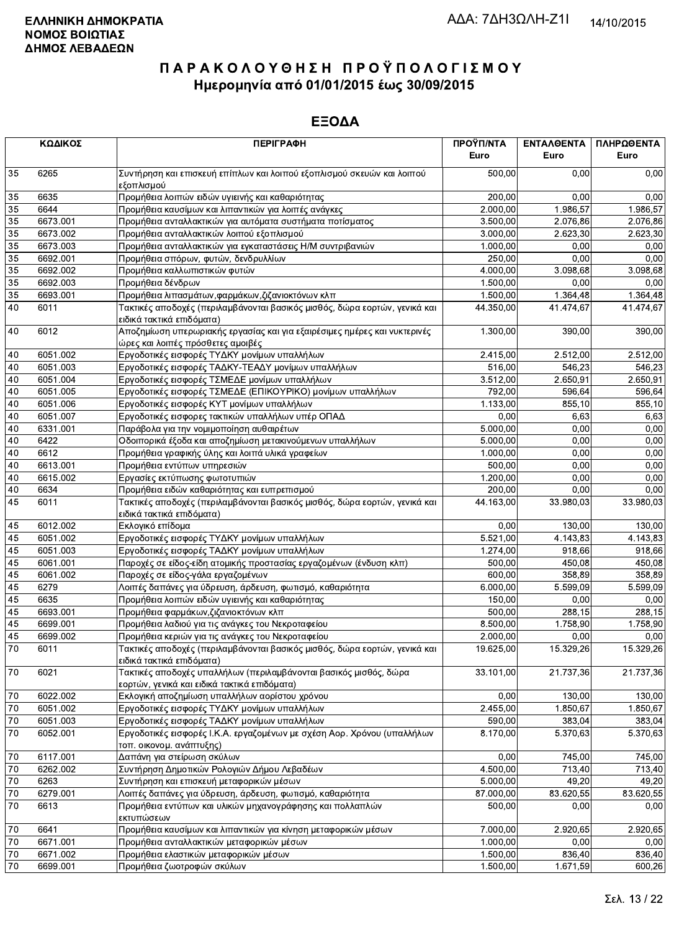|          | ΚΩΔΙΚΟΣ          | <b>ПЕРІГРАФН</b>                                                                                                  | ΠΡΟΫΠ/ΝΤΑ<br>Euro | <b>ENTAAGENTA</b><br>Euro | ΠΛΗΡΩΘΕΝΤΑ<br>Euro |
|----------|------------------|-------------------------------------------------------------------------------------------------------------------|-------------------|---------------------------|--------------------|
| 35       | 6265             | Συντήρηση και επισκευή επίπλων και λοιπού εξοπλισμού σκευών και λοιπού<br>εξοπλισμού                              | 500,00            | 0.00                      | 0,00               |
| 35       | 6635             | Προμήθεια λοιπών ειδών υγιεινής και καθαριότητας                                                                  | 200,00            | 0.00                      | 0,00               |
| 35       | 6644             | Προμήθεια καυσίμων και λιπαντικών για λοιπές ανάγκες                                                              | 2.000,00          | 1.986,57                  | 1.986,57           |
| 35       | 6673.001         | Προμήθεια ανταλλακτικών για αυτόματα συστήματα ποτίσματος                                                         | 3.500,00          | 2.076.86                  | 2.076,86           |
| 35       | 6673.002         | Προμήθεια ανταλλακτικών λοιπού εξοπλισμού                                                                         | 3.000,00          | 2.623,30                  | 2.623,30           |
| 35       | 6673.003         | Προμήθεια ανταλλακτικών για εγκαταστάσεις Η/Μ συντριβανιών                                                        | 1.000,00          | 0,00                      | 0,00               |
| 35       | 6692.001         | Προμήθεια σπόρων, φυτών, δενδρυλλίων                                                                              | 250,00            | 0,00                      | 0,00               |
| 35       | 6692.002         | Προμήθεια καλλωπιστικών φυτών                                                                                     | 4.000,00          | 3.098,68                  | 3.098,68           |
| 35       | 6692.003         | Προμήθεια δένδρων                                                                                                 | 1.500,00          | 0.00                      | 0,00               |
|          | 6693.001         | Προμήθεια λιπασμάτων, φαρμάκων, ζιζανιοκτόνων κλπ                                                                 |                   |                           |                    |
| 35<br>40 | 6011             | Τακτικές αποδοχές (περιλαμβάνονται βασικός μισθός, δώρα εορτών, γενικά και                                        | 1.500,00          | 1.364,48                  | 1.364,48           |
|          |                  | ειδικά τακτικά επιδόματα)                                                                                         | 44.350,00         | 41.474,67                 | 41.474,67          |
| 40       | 6012             | Αποζημίωση υπερωριακής εργασίας και για εξαιρέσιμες ημέρες και νυκτερινές<br>ώρες και λοιπές πρόσθετες αμοιβές    | 1.300,00          | 390,00                    | 390,00             |
| 40       | 6051.002         | Εργοδοτικές εισφορές ΤΥΔΚΥ μονίμων υπαλλήλων                                                                      | 2.415,00          | 2.512,00                  | 2.512,00           |
| 40       | 6051.003         | Εργοδοτικές εισφορές ΤΑΔΚΥ-ΤΕΑΔΥ μονίμων υπαλλήλων                                                                | 516,00            | 546,23                    | 546,23             |
| 40       | 6051.004         | Εργοδοτικές εισφορές ΤΣΜΕΔΕ μονίμων υπαλλήλων                                                                     | 3.512,00          | 2.650,91                  | 2.650,91           |
| 40       | 6051.005         | Εργοδοτικές εισφορές ΤΣΜΕΔΕ (ΕΠΙΚΟΥΡΙΚΟ) μονίμων υπαλλήλων                                                        | 792,00            | 596,64                    | 596,64             |
| 40       | 6051.006         | Εργοδοτικές εισφορές ΚΥΤ μονίμων υπαλλήλων                                                                        | 1.133,00          | 855,10                    | 855,10             |
| 40       | 6051.007         | Εργοδοτικές εισφορες τακτικών υπαλλήλων υπέρ ΟΠΑΔ                                                                 | 0,00              | 6,63                      | 6,63               |
| 40       | 6331.001         | Παράβολα για την νομιμοποίηση αυθαιρέτων                                                                          | 5.000,00          | 0,00                      | 0,00               |
| 40       | 6422             | Οδοιπορικά έξοδα και αποζημίωση μετακινούμενων υπαλλήλων                                                          | 5.000,00          | 0,00                      | 0,00               |
| 40       | 6612             | Προμήθεια γραφικής ύλης και λοιπά υλικά γραφείων                                                                  | 1.000,00          | 0,00                      | 0,00               |
| 40       | 6613.001         | Προμήθεια εντύπων υπηρεσιών                                                                                       | 500,00            | 0,00                      | 0,00               |
| 40       | 6615.002         | Εργασίες εκτύπωσης φωτοτυπιών                                                                                     | 1.200,00          | 0,00                      | 0,00               |
| 40       | 6634             | Προμήθεια ειδών καθαριότητας και ευπρεπισμού                                                                      | 200,00            | 0,00                      | 0,00               |
| 45       | 6011             | Τακτικές αποδοχές (περιλαμβάνονται βασικός μισθός, δώρα εορτών, γενικά και<br>ειδικά τακτικά επιδόματα)           | 44.163,00         | 33.980,03                 | 33.980,03          |
| 45       | 6012.002         | Εκλογικό επίδομα                                                                                                  | 0,00              | 130,00                    | 130,00             |
| 45       | 6051.002         | Εργοδοτικές εισφορές ΤΥΔΚΥ μονίμων υπαλλήλων                                                                      | 5.521,00          | 4.143,83                  | 4.143,83           |
| 45       | 6051.003         | Εργοδοτικές εισφορές ΤΑΔΚΥ μονίμων υπαλλήλων                                                                      | 1.274,00          | 918,66                    | 918,66             |
| 45       | 6061.001         | Παροχές σε είδος-είδη ατομικής προστασίας εργαζομένων (ένδυση κλπ)                                                | 500,00            | 450,08                    | 450,08             |
| 45       | 6061.002         |                                                                                                                   | 600,00            | 358,89                    | 358,89             |
| 45       | 6279             | Παροχές σε είδος-γάλα εργαζομένων                                                                                 | 6.000,00          | 5.599,09                  | 5.599,09           |
|          |                  | Λοιπές δαπάνες για ύδρευση, άρδευση, φωτισμό, καθαριότητα                                                         |                   |                           |                    |
| 45       | 6635<br>6693.001 | Προμήθεια λοιπών ειδών υγιεινής και καθαριότητας                                                                  | 150,00            | 0,00                      | 0,00               |
| 45       |                  | Προμήθεια φαρμάκων, ζιζανιοκτόνων κλπ                                                                             | 500,00            | 288,15                    | 288,15             |
| 45       | 6699.001         | Προμήθεια λαδιού για τις ανάγκες του Νεκροταφείου                                                                 | 8.500,00          | 1.758,90                  | 1.758,90           |
| 45       | 6699.002         | Προμήθεια κεριών για τις ανάγκες του Νεκροταφείου                                                                 | 2.000,00          | 0,00                      | 0,00               |
| 70       | 6011             | Τακτικές αποδοχές (περιλαμβάνονται βασικός μισθός, δώρα εορτών, γενικά και<br>ειδικά τακτικά επιδόματα)           | 19.625,00         | 15.329,26                 | 15.329,26          |
| 70       | 6021             | Τακτικές αποδοχές υπαλλήλων (περιλαμβάνονται βασικός μισθός, δώρα<br>εορτών, γενικά και ειδικά τακτικά επιδόματα) | 33.101,00         | $\overline{21}.737,36$    | 21.737,36          |
| 70       | 6022.002         | Εκλογική αποζημίωση υπαλλήλων αορίστου χρόνου                                                                     | 0,00              | 130,00                    | 130,00             |
| 70       | 6051.002         | Εργοδοτικές εισφορές ΤΥΔΚΥ μονίμων υπαλλήλων                                                                      | 2.455,00          | 1.850,67                  | 1.850,67           |
| 70       | 6051.003         | Εργοδοτικές εισφορές ΤΑΔΚΥ μονίμων υπαλλήλων                                                                      | 590,00            | 383,04                    | 383,04             |
| 70       | 6052.001         | Εργοδοτικές εισφορές Ι.Κ.Α. εργαζομένων με σχέση Αορ. Χρόνου (υπαλλήλων<br>τοπ. οικονομ. ανάπτυξης)               | 8.170,00          | 5.370,63                  | 5.370,63           |
| $70\,$   | 6117.001         | Δαπάνη για στείρωση σκύλων                                                                                        | 0,00              | 745,00                    | 745,00             |
| 70       | 6262.002         | Συντήρηση Δημοτικών Ρολογιών Δήμου Λεβαδέων                                                                       | 4.500,00          | 713,40                    | 713,40             |
| 70       | 6263             | Συντήρηση και επισκευή μεταφορικών μέσων                                                                          | 5.000,00          | 49,20                     | 49,20              |
| 70       | 6279.001         | Λοιπές δαπάνες για ύδρευση, άρδευση, φωτισμό, καθαριότητα                                                         | 87.000,00         | 83.620,55                 | 83.620,55          |
| 70       | 6613             | Προμήθεια εντύπων και υλικών μηχανογράφησης και πολλαπλών                                                         | 500,00            | 0,00                      | 0,00               |
|          |                  | εκτυπώσεων                                                                                                        |                   |                           |                    |
| $70\,$   | 6641             | Προμήθεια καυσίμων και λιπαντικών για κίνηση μεταφορικών μέσων                                                    | 7.000,00          | 2.920,65                  | 2.920,65           |
| 70       | 6671.001         | Προμήθεια ανταλλακτικών μεταφορικών μέσων                                                                         | 1.000,00          | 0,00                      | 0,00               |
| 70       | 6671.002         | Προμήθεια ελαστικών μεταφορικών μέσων                                                                             | 1.500,00          | 836,40                    | 836,40             |
| 70       | 6699.001         | Προμήθεια ζωοτροφών σκύλων                                                                                        | 1.500,00          | 1.671,59                  | 600,26             |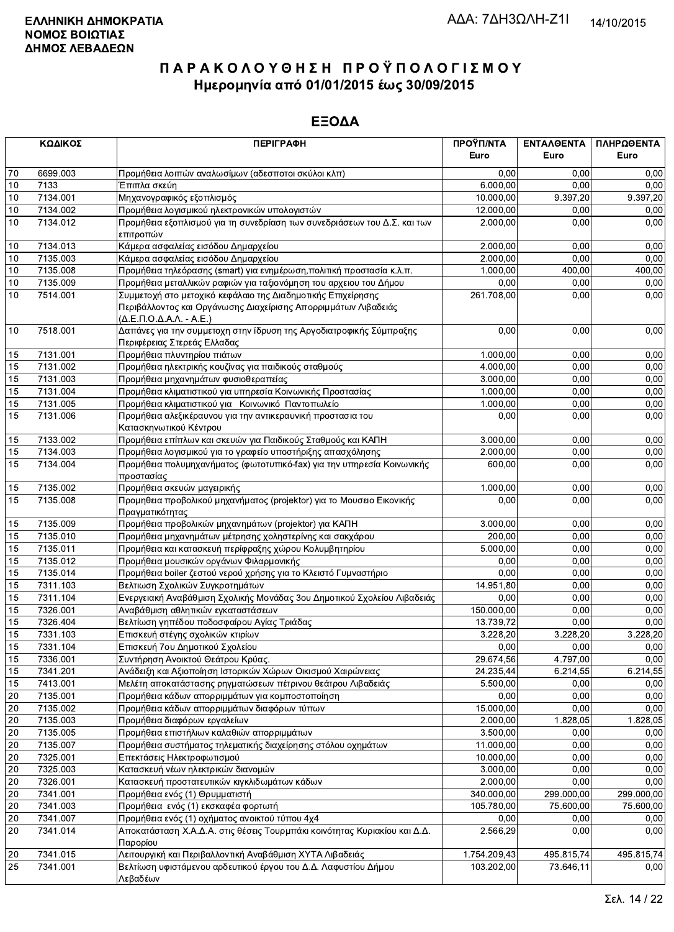|                 | ΚΩΔΙΚΟΣ<br><b>ПЕРІГРАФН</b> |                                                                                                              | ΠΡΟΫΠ/ΝΤΑ            | ΕΝΤΑΛΘΕΝΤΑ | ΠΛΗΡΩΘΕΝΤΑ |
|-----------------|-----------------------------|--------------------------------------------------------------------------------------------------------------|----------------------|------------|------------|
|                 |                             |                                                                                                              | Euro                 | Euro       | Euro       |
| $70\,$          | 6699.003                    | Προμήθεια λοιπών αναλωσίμων (αδεσποτοι σκύλοι κλπ)                                                           | 0,00                 | 0.00       | 0,00       |
| 10              | 7133                        | Έπιπλα σκεύη                                                                                                 | 6.000,00             | 0,00       | 0,00       |
| 10              | 7134.001                    | Μηχανογραφικός εξοπλισμός                                                                                    | 10.000,00            | 9.397,20   | 9.397,20   |
| 10              | 7134.002                    | Προμήθεια λογισμικού ηλεκτρονικών υπολογιστών                                                                | 12.000,00            | 0,00       | 0,00       |
| 10              | 7134.012                    | Προμήθεια εξοπλισμού για τη συνεδρίαση των συνεδριάσεων του Δ.Σ. και των                                     | 2.000,00             | 0,00       | 0,00       |
|                 | 7134.013                    | επιτροπών                                                                                                    |                      | 0,00       | 0,00       |
| 10<br>10        | 7135.003                    | Κάμερα ασφαλείας εισόδου Δημαρχείου                                                                          | 2.000,00<br>2.000,00 | 0,00       | 0,00       |
| 10              | 7135.008                    | Κάμερα ασφαλείας εισόδου Δημαρχείου<br>Προμήθεια τηλεόρασης (smart) για ενημέρωση, πολιτική προστασία κ.λ.π. | 1.000.00             | 400,00     | 400,00     |
| 10              | 7135.009                    | Προμήθεια μεταλλικών ραφιών για ταξιονόμηση του αρχειου του Δήμου                                            | 0,00                 | 0.00       | 0,00       |
| 10              | 7514.001                    | Συμμετοχή στο μετοχικό κεφάλαιο της Διαδημοτικής Επιχείρησης                                                 | 261.708,00           | 0,00       | 0,00       |
|                 |                             | Περιβάλλοντος και Οργάνωσης Διαχείρισης Απορριμμάτων Λιβαδειάς<br>(Δ.Ε.Π.Ο.Δ.Α.Λ. - Α.Ε.)                    |                      |            |            |
| 10              | 7518.001                    | Δαπάνες για την συμμετοχη στην ίδρυση της Αργοδιατροφικής Σύμπραξης<br>Περιφέρειας Στερεάς Ελλαδας           | 0,00                 | 0,00       | 0,00       |
| 15              | 7131.001                    | Προμήθεια πλυντηρίου πιάτων                                                                                  | 1.000,00             | 0,00       | 0,00       |
| 15              | 7131.002                    | Προμήθεια ηλεκτρικής κουζίνας για παιδικούς σταθμούς                                                         | 4.000,00             | 0,00       | 0,00       |
| 15              | 7131.003                    | Προμήθεια μηχανημάτων φυσιοθεραπείας                                                                         | 3.000,00             | 0,00       | 0,00       |
| 15              | 7131.004                    | Προμήθεια κλιματιστικού για υπηρεσία Κοινωνικής Προστασίας                                                   | 1.000,00             | 0,00       | 0,00       |
| 15              | 7131.005                    | Προμήθεια κλιματιστικού για Κοινωνικό Παντοπωλείο                                                            | 1.000,00             | 0,00       | 0,00       |
| 15              | 7131.006                    | Προμήθεια αλεξικέραυνου για την αντικεραυνική προστασια του<br>Κατασκηνωτικού Κέντρου                        | 0,00                 | 0,00       | 0,00       |
| 15              | 7133.002                    | Προμήθεια επίπλων και σκευών για Παιδικούς Σταθμούς και ΚΑΠΗ                                                 | 3.000,00             | 0,00       | 0,00       |
| 15              | 7134.003                    | Προμήθεια λογισμικού για το γραφείο υποστήριξης απασχόλησης                                                  | 2.000,00             | 0,00       | 0,00       |
| 15              | 7134.004                    | Προμήθεια πολυμηχανήματος (φωτοτυπικό-fax) για την υπηρεσία Κοινωνικής<br>προστασίας                         | 600,00               | 0,00       | 0,00       |
| 15              | 7135.002                    | Προμήθεια σκευών μαγειρικής                                                                                  | 1.000,00             | 0,00       | 0,00       |
| 15              | 7135.008                    | Προμηθεια προβολικού μηχανήματος (projektor) για το Μουσειο Εικονικής                                        | 0,00                 | 0,00       | 0,00       |
|                 |                             | Πραγματικότητας                                                                                              |                      |            |            |
| 15              | 7135.009                    | Προμήθεια προβολικών μηχανημάτων (projektor) για ΚΑΠΗ                                                        | 3.000,00             | 0,00       | 0,00       |
| 15              | 7135.010                    | Προμήθεια μηχανημάτων μέτρησης χοληστερίνης και σακχάρου                                                     | 200,00               | 0,00       | 0,00       |
| 15              | 7135.011                    | Προμήθεια και κατασκευή περίφραξης χώρου Κολυμβητηρίου                                                       | 5.000,00             | 0,00       | 0,00       |
| 15              | 7135.012                    | Προμήθεια μουσικών οργάνων Φιλαρμονικής                                                                      | 0.00                 | 0,00       | 0,00       |
| 15              | 7135.014                    | Προμήθεια boiler ζεστού νερού χρήσης για το Κλειστό Γυμναστήριο                                              | 0,00                 | 0,00       | 0,00       |
| 15              | 7311.103                    | Βελτιωση Σχολικών Συγκροτημάτων                                                                              | 14.951,80            | 0,00       | 0,00       |
| 15              | 7311.104                    | Ενεργειακή Αναβάθμιση Σχολικής Μονάδας 3ου Δημοτικού Σχολείου Λιβαδειάς                                      | 0,00                 | 0,00       | 0,00       |
| 15              | 7326.001                    | Αναβάθμιση αθλητικών εγκαταστάσεων                                                                           | 150.000,00           | 0,00       | 0,00       |
| 15              | 7326.404                    | Βελτίωση γηπέδου ποδοσφαίρου Αγίας Τριάδας                                                                   | 13.739,72            | 0,00       | 0,00       |
| 15              | 7331.103                    | Επισκευή στέγης σχολικών κτιρίων                                                                             | 3.228,20             | 3.228,20   | 3.228,20   |
| $\overline{15}$ | 7331.104                    | Επισκευή 7ου Δημοτικού Σχολείου                                                                              | 0,00                 | 0,00       | 0,00       |
| 15              | 7336.001                    | Συντήρηση Ανοικτού Θεάτρου Κρύας.                                                                            | 29.674,56            | 4.797,00   | 0,00       |
| 15              | 7341.201                    | Ανάδειξη και Αξιοποίηση Ιστορικών Χώρων Οικισμού Χαιρώνειας                                                  | 24.235,44            | 6.214,55   | 6.214,55   |
| 15              | 7413.001                    | Μελέτη αποκατάστασης ρηγματώσεων πέτρινου θεάτρου Λιβαδειάς                                                  | 5.500,00             | 0,00       | 0,00       |
| 20              | 7135.001                    | Προμήθεια κάδων απορριμμάτων για κομποστοποίηση                                                              | 0,00                 | 0,00       | 0,00       |
| $20\,$          | 7135.002                    | Προμήθεια κάδων απορριμμάτων διαφόρων τύπων                                                                  | 15.000,00            | 0,00       | 0,00       |
| 20              | 7135.003                    | Προμήθεια διαφόρων εργαλείων                                                                                 | 2.000,00             | 1.828,05   | 1.828,05   |
| 20              | 7135.005                    | Προμήθεια επιστήλιων καλαθιών απορριμμάτων                                                                   | 3.500,00             | 0,00       | 0,00       |
| $20\,$          | 7135.007                    | Προμήθεια συστήματος τηλεματικής διαχείρησης στόλου οχημάτων                                                 | 11.000,00            | 0,00       | 0,00       |
| $20\,$          | 7325.001                    | Επεκτάσεις Ηλεκτροφωτισμού                                                                                   | 10.000,00            | 0,00       | 0,00       |
| $20\,$          | 7325.003                    | Κατασκευή νέων ηλεκτρικών διανομών                                                                           | 3.000,00             | 0,00       | 0,00       |
| 20              | 7326.001                    | Κατασκευή προστατευτικών κιγκλιδωμάτων κάδων                                                                 | 2.000,00             | 0,00       | 0,00       |
| 20              | 7341.001                    | Προμήθεια ενός (1) Θρυμματιστή                                                                               | 340.000,00           | 299.000,00 | 299.000,00 |
| $20\,$          | 7341.003                    | Προμήθεια ενός (1) εκσκαφέα φορτωτή                                                                          | 105.780,00           | 75.600,00  | 75.600,00  |
| $20\,$          | 7341.007                    | Προμήθεια ενός (1) οχήματος ανοικτού τύπου 4χ4                                                               | 0,00                 | 0,00       | 0,00       |
| 20              | 7341.014                    | Αποκατάσταση Χ.Α.Δ.Α. στις θέσεις Τουρμπάκι κοινότητας Κυριακίου και Δ.Δ.<br>Παρορίου                        | 2.566,29             | 0,00       | 0,00       |
| 20              | 7341.015                    | Λειτουργική και Περιβαλλοντική Αναβάθμιση ΧΥΤΑ Λιβαδειάς                                                     | 1.754.209,43         | 495.815,74 | 495.815,74 |
| 25              | 7341.001                    | Βελτίωση υφιστάμενου αρδευτικού έργου του Δ.Δ. Λαφυστίου Δήμου<br>Λεβαδέων                                   | 103.202,00           | 73.646,11  | 0,00       |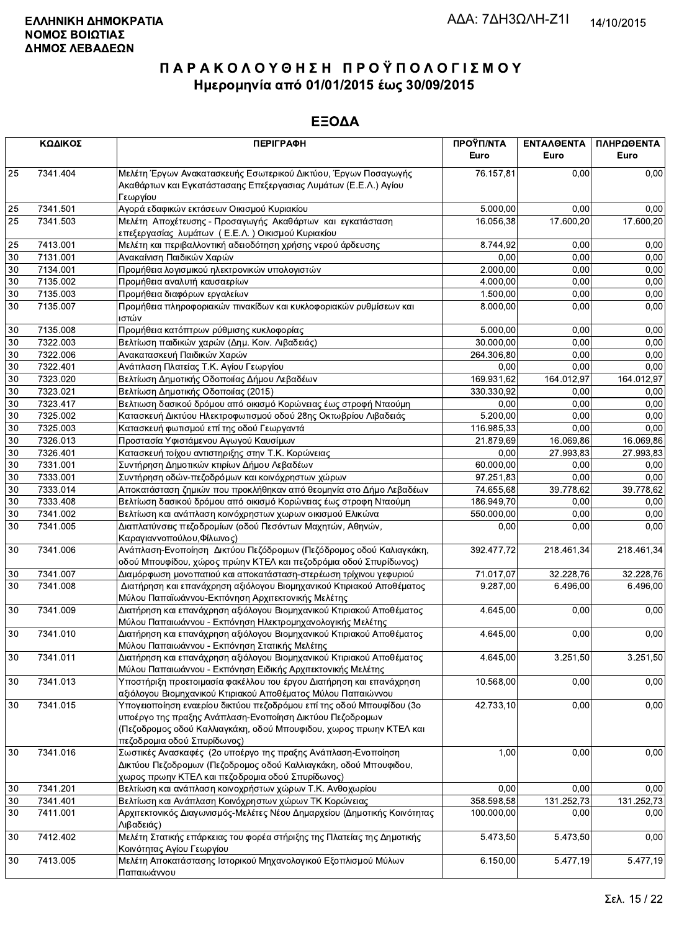|    | ΚΩΔΙΚΟΣ  | <b>ПЕРІГРАФН</b>                                                                                                                                                                                                                      | ΠΡΟΫΠ/ΝΤΑ<br>Euro | ΕΝΤΑΛΘΕΝΤΑ<br>Euro | ΠΛΗΡΩΘΕΝΤΑ<br>Euro |
|----|----------|---------------------------------------------------------------------------------------------------------------------------------------------------------------------------------------------------------------------------------------|-------------------|--------------------|--------------------|
| 25 | 7341.404 | Μελέτη Έργων Ανακατασκευής Εσωτερικού Δικτύου, Έργων Ποσαγωγής<br>Ακαθάρτων και Εγκατάστασαης Επεξεργασιας Λυμάτων (Ε.Ε.Λ.) Αγίου<br>Γεωργίου                                                                                         | 76.157,81         | 0,00               | 0,00               |
| 25 | 7341.501 | Αγορά εδαφικών εκτάσεων Οικισμού Κυριακίου                                                                                                                                                                                            | 5.000,00          | 0,00               | 0,00               |
| 25 | 7341.503 | Μελέτη Αποχέτευσης - Προσαγωγής Ακαθάρτων και εγκατάσταση<br>επεξεργασίας λυμάτων (Ε.Ε.Λ.) Οικισμού Κυριακίου                                                                                                                         | 16.056,38         | 17.600,20          | 17.600,20          |
| 25 | 7413.001 | Μελέτη και περιβαλλοντική αδειοδότηση χρήσης νερού άρδευσης                                                                                                                                                                           | 8.744,92          | 0,00               | 0,00               |
| 30 | 7131.001 | Ανακαίνιση Παιδικών Χαρών                                                                                                                                                                                                             | 0,00              | 0,00               | 0,00               |
| 30 | 7134.001 | Προμήθεια λογισμικού ηλεκτρονικών υπολογιστών                                                                                                                                                                                         | 2.000,00          | 0,00               | 0,00               |
| 30 | 7135.002 | Προμήθεια αναλυτή καυσαερίων                                                                                                                                                                                                          | 4.000,00          | 0.00               | 0,00               |
| 30 | 7135.003 | Προμήθεια διαφόρων εργαλείων                                                                                                                                                                                                          | 1.500,00          | 0,00               | 0,00               |
| 30 | 7135.007 | Προμήθεια πληροφοριακών πινακίδων και κυκλοφοριακών ρυθμίσεων και<br>ιστών                                                                                                                                                            | 8.000,00          | 0,00               | 0,00               |
| 30 | 7135.008 | Προμήθεια κατόπτρων ρύθμισης κυκλοφορίας                                                                                                                                                                                              | 5.000,00          | 0,00               | 0,00               |
| 30 | 7322.003 | Βελτίωση παιδικών χαρών (Δημ. Κοιν. Λιβαδειάς)                                                                                                                                                                                        | 30.000,00         | 0,00               | 0,00               |
| 30 | 7322.006 | Ανακατασκευή Παιδικών Χαρών                                                                                                                                                                                                           | 264.306,80        | 0,00               | 0,00               |
| 30 | 7322.401 | Ανάπλαση Πλατείας Τ.Κ. Αγίου Γεωργίου                                                                                                                                                                                                 | 0,00              | 0,00               | 0,00               |
| 30 | 7323.020 | Βελτίωση Δημοτικής Οδοποιίας Δήμου Λεβαδέων                                                                                                                                                                                           | 169.931,62        | 164.012,97         | 164.012,97         |
| 30 | 7323.021 | Βελτίωση Δημοτικής Οδοποιίας (2015)                                                                                                                                                                                                   | 330.330,92        | 0,00               | 0,00               |
| 30 | 7323.417 | Βελτιωση δασικού δρόμου από οικισμό Κορώνειας έως στροφή Νταούμη                                                                                                                                                                      | 0.00              | 0,00               | 0,00               |
| 30 | 7325.002 | Κατασκευή Δικτύου Ηλεκτροφωτισμού οδού 28ης Οκτωβρίου Λιβαδειάς                                                                                                                                                                       | 5.200,00          | 0,00               | 0,00               |
| 30 | 7325.003 | Κατασκευή φωτισμού επί της οδού Γεωργαντά                                                                                                                                                                                             | 116.985,33        | 0.00               | 0,00               |
| 30 | 7326.013 | Προστασία Υφιστάμενου Αγωγού Καυσίμων                                                                                                                                                                                                 | 21.879,69         | 16.069,86          | 16.069,86          |
| 30 | 7326.401 | Κατασκευή τοίχου αντιστηριξης στην Τ.Κ. Κορώνειας                                                                                                                                                                                     | 0,00              | 27.993,83          | 27.993,83          |
| 30 | 7331.001 | Συντήρηση Δημοτικών κτιρίων Δήμου Λεβαδέων                                                                                                                                                                                            | 60.000,00         | 0,00               | 0,00               |
| 30 | 7333.001 | Συντήρηση οδών-πεζοδρόμων και κοινόχρηστων χώρων                                                                                                                                                                                      | 97.251,83         | 0,00               | 0,00               |
| 30 | 7333.014 | Αποκατάσταση ζημιών που προκλήθηκαν από θεομηνία στο Δήμο Λεβαδέων                                                                                                                                                                    | 74.655,68         | 39.778,62          | 39.778,62          |
| 30 | 7333.408 | Βελτίωση δασικού δρόμου από οικισμό Κορώνειας έως στροφη Νταούμη                                                                                                                                                                      | 186.949,70        | 0,00               | 0,00               |
| 30 | 7341.002 | Βελτίωση και ανάπλαση κοινόχρηστων χωρων οικισμού Ελικώνα                                                                                                                                                                             | 550.000,00        | 0,00               | 0,00               |
| 30 | 7341.005 | Διαπλατύνσεις πεζοδρομίων (οδού Πεσόντων Μαχητών, Αθηνών,<br>Καραγιαννοπούλου, Φίλωνος)                                                                                                                                               | 0,00              | 0,00               | 0,00               |
| 30 | 7341.006 | Ανάπλαση-Ενοποίηση Δικτύου Πεζόδρομων (Πεζόδρομος οδού Καλιαγκάκη,<br>οδού Μπουφίδου, χώρος πρώην ΚΤΕΛ και πεζοδρόμια οδού Σπυρίδωνος)                                                                                                | 392.477,72        | 218.461,34         | 218.461,34         |
| 30 | 7341.007 | Διαμόρφωση μονοπατιού και αποκατάσταση-στερέωση τρίχινου γεφυριού                                                                                                                                                                     | 71.017,07         | 32.228,76          | 32.228,76          |
| 30 | 7341.008 | Διατήρηση και επανάχρηση αξιόλογου Βιομηχανικού Κτιριακού Αποθέματος<br>Μύλου Παπαϊωάννου-Εκπόνηση Αρχιτεκτονικής Μελέτης                                                                                                             | 9.287,00          | 6.496,00           | 6.496,00           |
| 30 | 7341.009 | Διατήρηση και επανάχρηση αξιόλογου Βιομηχανικού Κτιριακού Αποθέματος<br>Μύλου Παπαιωάννου - Εκπόνηση Ηλεκτρομηχανολογικής Μελέτης                                                                                                     | 4.645,00          | 0,00               | 0,00               |
| 30 | 7341.010 | Διατήρηση και επανάχρηση αξιόλογου Βιομηχανικού Κτιριακού Αποθέματος<br>Μύλου Παπαιωάννου - Εκπόνηση Στατικής Μελέτης                                                                                                                 | 4.645.00          | 0,00               | 0,00               |
| 30 | 7341.011 | Διατήρηση και επανάχρηση αξιόλογου Βιομηχανικού Κτιριακού Αποθέματος<br>Μύλου Παπαιωάννου - Εκπόνηση Ειδικής Αρχιτεκτονικής Μελέτης                                                                                                   | 4.645,00          | 3.251,50           | 3.251,50           |
| 30 | 7341.013 | Υποστήριξη προετοιμασία φακέλλου του έργου Διατήρηση και επανάχρηση<br>αξιόλογου Βιομηχανικού Κτιριακού Αποθέματος Μύλου Παπαιώννου                                                                                                   | 10.568,00         | 0,00               | 0,00               |
| 30 | 7341.015 | Υπογειοποίηση εναερίου δικτύου πεζοδρόμου επί της οδού Μπουφίδου (3ο<br>υποέργο της πραξης Ανάπλαση-Ενοποίηση Δικτύου Πεζοδρομων<br>(Πεζοδρομος οδού Καλλιαγκάκη, οδού Μπουφιδου, χωρος πρωην ΚΤΕΛ και<br>πεζοδρομια οδού Σπυρίδωνος) | 42.733,10         | 0,00               | 0,00               |
| 30 | 7341.016 | Σωστικές Ανασκαφές (2ο υποέργο της πραξης Ανάπλαση-Ενοποίηση<br>Δικτύου Πεζοδρομων (Πεζοδρομος οδού Καλλιαγκάκη, οδού Μπουφιδου,<br>χωρος πρωην ΚΤΕΛ και πεζοδρομια οδού Σπυρίδωνος)                                                  | 1,00              | 0,00               | 0,00               |
| 30 | 7341.201 | Βελτίωση και ανάπλαση κοινοχρήστων χώρων Τ.Κ. Ανθοχωρίου                                                                                                                                                                              | 0.00              | 0,00               | 0,00               |
| 30 | 7341.401 | Βελτίωση και Ανάπλαση Κοινόχρηστων χώρων ΤΚ Κορώνειας                                                                                                                                                                                 | 358.598,58        | 131.252,73         | 131.252,73         |
| 30 | 7411.001 | Αρχιτεκτονικός Διαγωνισμός-Μελέτες Νέου Δημαρχείου (Δημοτικής Κοινότητας<br>Λιβαδειάς)                                                                                                                                                | 100.000,00        | 0,00               | 0,00               |
| 30 | 7412.402 | Μελέτη Στατικής επάρκειας του φορέα στήριξης της Πλατείας της Δημοτικής<br>Κοινότητας Αγίου Γεωργίου                                                                                                                                  | 5.473,50          | 5.473,50           | 0,00               |
| 30 | 7413.005 | Μελέτη Αποκατάστασης Ιστορικού Μηχανολογικού Εξοπλισμού Μύλων<br>Παπαιωάννου                                                                                                                                                          | 6.150,00          | 5.477,19           | 5.477,19           |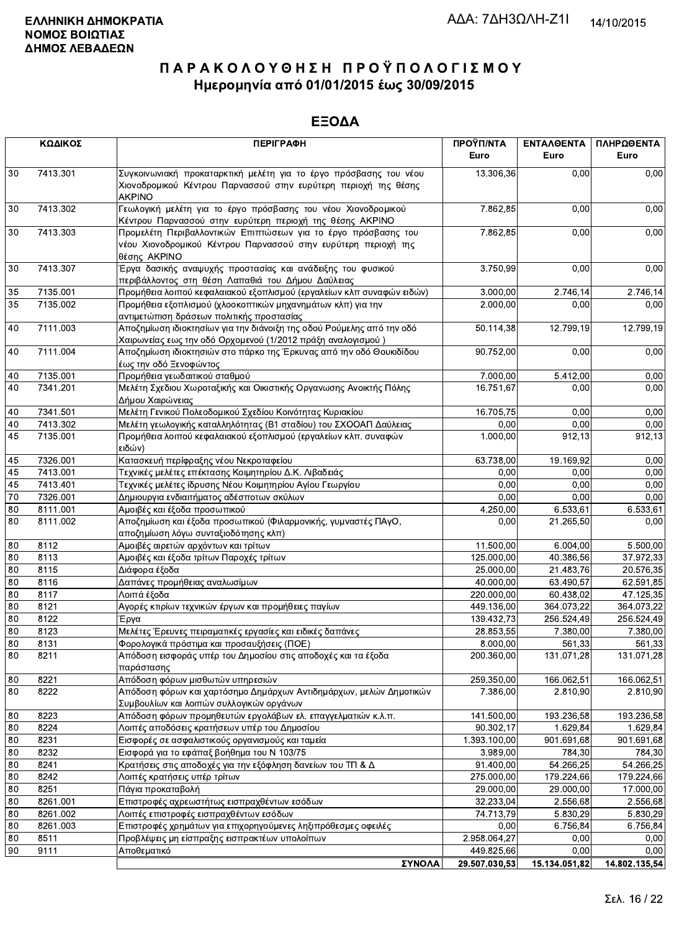|          | ΚΩΔΙΚΟΣ      | <b>ПЕРІГРАФН</b>                                                                                                                                      | ΠΡΟΫΠ/ΝΤΑ<br>Euro          | ΕΝΤΑΛΘΕΝΤΑ<br>Euro | ΠΛΗΡΩΘΕΝΤΑ<br>Euro |
|----------|--------------|-------------------------------------------------------------------------------------------------------------------------------------------------------|----------------------------|--------------------|--------------------|
| 30       | 7413.301     | Συγκοινωνιακή προκαταρκτική μελέτη για το έργο πρόσβασης του νέου<br>Χιονοδρομικού Κέντρου Παρνασσού στην ευρύτερη περιοχή της θέσης<br><b>AKPINO</b> | 13.306,36                  | 0.00               | 0,00               |
| 30       | 7413.302     | Γεωλογική μελέτη για το έργο πρόσβασης του νέου Χιονοδρομικού<br>Κέντρου Παρνασσού στην ευρύτερη περιοχή της θέσης ΑΚΡΙΝΟ                             | 7.862,85                   | 0,00               | 0,00               |
| 30       | 7413.303     | Προμελέτη Περιβαλλοντικών Επιπτώσεων για το έργο πρόσβασης του<br>νέου Χιονοδρομικού Κέντρου Παρνασσού στην ευρύτερη περιοχή της<br>θέσης AKPINO      | 7.862,85                   | 0,00               | 0,00               |
| 30       | 7413.307     | Έργα δασικής αναψυχής προστασίας και ανάδειξης του φυσικού<br>περιβάλλοντος στη θέση Λαπαθιά του Δήμου Δαύλειας                                       | 3.750,99                   | 0,00               | 0,00               |
| 35       | 7135.001     | Προμήθεια λοιπού κεφαλαιακού εξοπλισμού (εργαλείων κλπ συναφών ειδών)                                                                                 | 3.000,00                   | 2.746,14           | 2.746,14           |
| 35       | 7135.002     | Προμήθεια εξοπλισμού (χλοοκοπτικών μηχανημάτων κλπ) για την<br>αντιμετώπιση δράσεων πολιτικής προστασίας                                              | 2.000,00                   | 0,00               | 0,00               |
| 40       | 7111.003     | Αποζημίωση ιδιοκτησίων για την διάνοιξη της οδού Ρούμελης από την οδό<br>Χαιρωνείας εως την οδό Ορχομενού (1/2012 πράξη αναλογισμού)                  | 50.114,38                  | 12.799,19          | 12.799,19          |
| 40       | 7111.004     | Αποζημίωση ιδιοκτησιών στο πάρκο της Έρκυνας από την οδό Θουκιδίδου<br>έως την οδό Ξενοφώντος                                                         | 90.752,00                  | 0,00               | 0,00               |
| 40       | 7135.001     | Προμήθεια γεωδαιτικού σταθμού                                                                                                                         | 7.000,00                   | 5.412,00           | 0,00               |
| 40       | 7341.201     | Μελέτη Σχεδιου Χωροταξικής και Οικιστικής Οργανωσης Ανοικτής Πόλης<br>Δήμου Χαιρώνειας                                                                | 16.751,67                  | 0,00               | 0,00               |
| 40       | 7341.501     | Μελέτη Γενικού Πολεοδομικού Σχεδίου Κοινότητας Κυριακίου                                                                                              | 16.705,75                  | 0,00               | 0,00               |
| 40       | 7413.302     | Μελέτη γεωλογικής καταλληλότητας (Β1 σταδίου) του ΣΧΟΟΑΠ Δαύλειας                                                                                     | 0,00                       | 0,00               | 0,00               |
| 45       | 7135.001     | Προμήθεια λοιπού κεφαλαιακού εξοπλισμού (εργαλείων κλπ. συναφών<br> ειδών)                                                                            | 1.000,00                   | 912,13             | 912,13             |
| 45       | 7326.001     | Κατασκευή περίφραξης νέου Νεκροταφείου                                                                                                                | 63.738,00                  | 19.169,92          | 0,00               |
| 45       | 7413.001     | Τεχνικές μελέτες επέκτασης Κοιμητηρίου Δ.Κ. Λιβαδειάς                                                                                                 | 0,00                       | 0.00               | 0,00               |
| 45       | 7413.401     | Τεχνικές μελέτες ίδρυσης Νέου Κοιμητηρίου Αγίου Γεωργίου                                                                                              | 0,00                       | 0,00               | 0,00               |
| 70       | 7326.001     | Δημιουργια ενδιαιτήματος αδέσποτων σκύλων                                                                                                             | 0,00                       | 0,00               | 0,00               |
| 80       | 8111.001     | Αμοιβές και έξοδα προσωπικού                                                                                                                          | 4.250,00                   | 6.533,61           | 6.533,61           |
| 80       | 8111.002     | Αποζημίωση και έξοδα προσωπικού (Φιλαρμονικής, γυμναστές ΠΑγΟ,<br>αποζημίωση λόγω συνταξιοδότησης κλπ)                                                | 0,00                       | 21.265,50          | 0,00               |
| 80       | 8112         | Αμοιβές αιρετών αρχόντων και τρίτων                                                                                                                   | 11.500,00                  | 6.004,00           | 5.500,00           |
| 80       | 8113         | Αμοιβές και έξοδα τρίτων Παροχές τρίτων                                                                                                               | 125.000,00                 | 40.386,56          | 37.972,33          |
| 80       | 8115         | Διάφορα έξοδα                                                                                                                                         | 25.000,00                  | 21.483,76          | 20.576,35          |
| 80       | 8116         | Δαπάνες προμήθειας αναλωσίμων                                                                                                                         | 40.000,00                  | 63.490,57          | 62.591,85          |
| 80       | 8117         | Λοιπά έξοδα                                                                                                                                           | 220.000,00                 | 60.438,02          | 47.125,35          |
| 80       | 8121         | Αγορές κτιρίων τεχνικών έργων και προμήθειες παγίων                                                                                                   | 449.136,00                 | 364.073.22         | 364.073,22         |
| 80       | 8122         | Έργα                                                                                                                                                  | 139.432,73                 | 256.524,49         | 256.524,49         |
| 80       | 8123         | Μελέτες Έρευνες πειραματικές εργασίες και ειδικές δαπάνες                                                                                             | 28.853,55                  | 7.380,00           | 7.380,00           |
| 80       | 8131         | Φορολογικά πρόστιμα και προσαυξήσεις (ΠΟΕ)                                                                                                            | 8.000,00                   | 561,33             | 561,33             |
| 80       | 8211         | Απόδοση εισφοράς υπέρ του Δημοσίου στις αποδοχές και τα έξοδα<br>παράστασης                                                                           | 200.360,00                 | 131.071,28         | 131.071,28         |
| 80       | 8221         | Απόδοση φόρων μισθωτών υπηρεσιών                                                                                                                      | 259.350,00                 | 166.062,51         | 166.062,51         |
| 80       | 8222         | Απόδοση φόρων και χαρτόσημο Δημάρχων Αντιδημάρχων, μελών Δημοτικών<br>Συμβουλίων και λοιπών συλλογικών οργάνων                                        | 7.386,00                   | 2.810,90           | 2.810,90           |
| 80       | 8223         | Απόδοση φόρων προμηθευτών εργολάβων ελ. επαγγελματιών κ.λ.π.                                                                                          | 141.500,00                 | 193.236,58         | 193.236,58         |
| 80       | 8224         | Λοιπές αποδόσεις κρατήσεων υπέρ του Δημοσίου                                                                                                          | 90.302,17                  | 1.629,84           | 1.629,84           |
| 80       | 8231         | Εισφορές σε ασφαλιστικούς οργανισμούς και ταμεία                                                                                                      | 1.393.100,00               | 901.691,68         | 901.691,68         |
| 80       | 8232         | Εισφορά για το εφάπαξ βοήθημα του Ν 103/75                                                                                                            | 3.989,00                   | 784,30             | 784,30             |
| 80       | 8241         | Κρατήσεις στις αποδοχές για την εξόφληση δανείων του ΤΠ & Δ                                                                                           | 91.400,00                  | 54.266,25          | 54.266,25          |
| 80       | 8242         | Λοιπές κρατήσεις υπέρ τρίτων                                                                                                                          | 275.000,00                 | 179.224,66         | 179.224,66         |
| 80       | 8251         | Πάγια προκαταβολή                                                                                                                                     | 29.000,00                  | 29.000,00          | 17.000,00          |
| 80       | 8261.001     | Επιστροφές αχρεωστήτως εισπραχθέντων εσόδων                                                                                                           | 32.233,04                  | 2.556,68           | 2.556,68           |
| 80       | 8261.002     | Λοιπές επιστροφές εισπραχθέντων εσόδων                                                                                                                | 74.713,79                  | 5.830,29           | 5.830,29           |
| 80       | 8261.003     | Επιστροφές χρημάτων για επιχορηγούμενες ληξιπρόθεσμες οφειλές                                                                                         | 0.00                       | 6.756,84           | 6.756,84           |
| 80<br>90 | 8511<br>9111 | Προβλέψεις μη είσπραξης εισπρακτέων υπολοίπων<br>Αποθεματικό                                                                                          | 2.958.064,27<br>449.825,66 | 0,00<br>0,00       | 0,00<br>0,00       |
|          |              | ΣΥΝΟΛΑ                                                                                                                                                | 29.507.030.53              | 15.134.051.82      | 14.802.135.54      |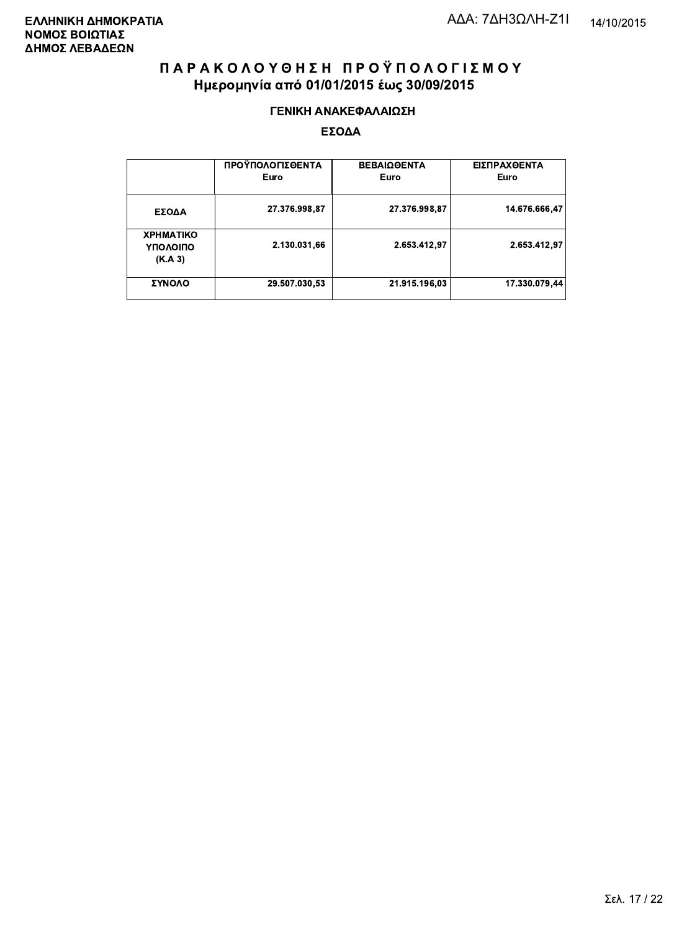#### ΓΕΝΙΚΗ ΑΝΑΚΕΦΑΛΑΙΩΣΗ

|                                         | ΠΡΟΫΠΟΛΟΓΙΣΘΕΝΤΑ<br>Euro | ΒΕΒΑΙΩΘΕΝΤΑ<br>Euro | ΕΙΣΠΡΑΧΘΕΝΤΑ<br>Euro |
|-----------------------------------------|--------------------------|---------------------|----------------------|
| ΕΣΟΔΑ                                   | 27.376.998,87            | 27.376.998,87       | 14.676.666,47        |
| <b>XPHMATIKO</b><br>ΥΠΟΛΟΙΠΟ<br>(K.A.3) | 2.130.031,66             | 2.653.412,97        | 2.653.412,97         |
| ΣΥΝΟΛΟ                                  | 29.507.030,53            | 21.915.196,03       | 17.330.079,44        |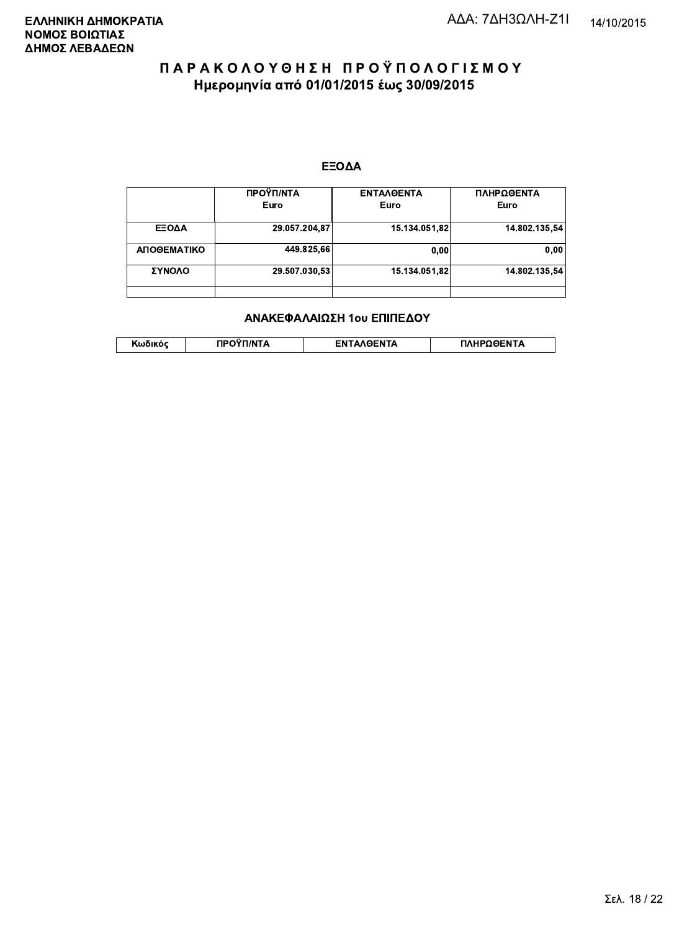#### ΕΞΟΔΑ

|             | ΠΡΟΫΠ/ΝΤΑ<br>Euro | <b>ENTAAGENTA</b><br>Euro | ΠΛΗΡΩΘΕΝΤΑ<br>Euro |
|-------------|-------------------|---------------------------|--------------------|
| ΕΞΟΔΑ       | 29.057.204,87     | 15.134.051.82             | 14.802.135.54      |
| ΑΠΟΘΕΜΑΤΙΚΟ | 449.825.66        | 0,00                      | 0.00               |
| ΣΥΝΟΛΟ      | 29.507.030.53     | 15.134.051.82             | 14.802.135.54      |
|             |                   |                           |                    |

#### ΑΝΑΚΕΦΑΛΑΙΩΣΗ 1ου ΕΠΙΠΕΔΟΥ

|  | . | <b>TINTA</b> | ົ° PENTA | ΗΡΩΘΕΝΤΔ |
|--|---|--------------|----------|----------|
|--|---|--------------|----------|----------|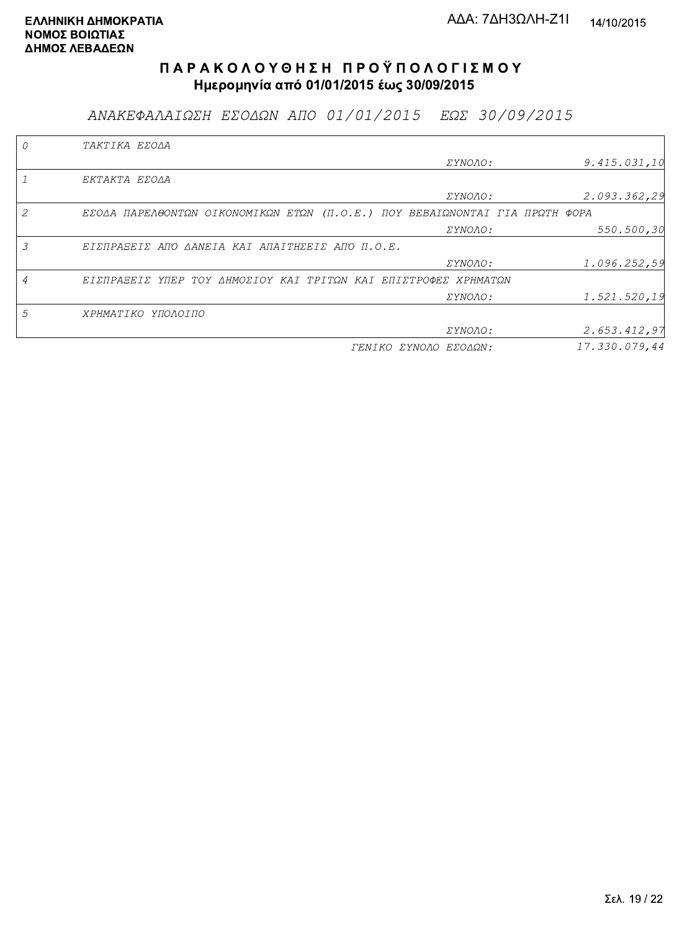ΑΝΑΚΕΦΑΛΑΙΩΣΗ ΕΣΟΔΩΝ ΑΠΟ 01/01/2015 ΕΩΣ 30/09/2015

|   | TAKTIKA EZOAA                                                               |                       |               |
|---|-----------------------------------------------------------------------------|-----------------------|---------------|
|   |                                                                             | <i>EYNOAO:</i>        | 9.415.031,10  |
|   | EKTAKTA EZOAA                                                               |                       |               |
|   |                                                                             | <i>EYNOAO:</i>        | 2.093.362,29  |
| 2 | EΣΟΔΑ ΠΑΡΕΛΘΟΝΤΩΝ ΟΙΚΟΝΟΜΙΚΩΝ ΕΤΩΝ (Π.Ο.Ε.) ΠΟΥ ΒΕΒΑΙΩΝΟΝΤΑΙ ΓΙΑ ΠΡΩΤΗ ΦΟΡΑ |                       |               |
|   |                                                                             | ΣΥΝΟΛΟ:               | 550.500,30    |
| 3 | EIZNPASEIZ ANO AANEIA KAI ANAITHZEIZ ANO N.O.E.                             |                       |               |
|   |                                                                             | ΣΥΝΟΛΟ:               | 1.096.252,59  |
| 4 | ΕΙΣΠΡΑΞΕΙΣ ΥΠΕΡ ΤΟΥ ΔΗΜΟΣΙΟΥ ΚΑΙ ΤΡΙΤΩΝ ΚΑΙ ΕΠΙΣΤΡΟΦΕΣ ΧΡΗΜΑΤΩΝ             |                       |               |
|   |                                                                             | ΣΥΝΟΛΟ:               | 1.521.520,19  |
| 5 | ΧΡΗΜΑΤΙΚΟ ΥΠΟΛΟΙΠΟ                                                          |                       |               |
|   |                                                                             | ΣΥΝΟΛΟ:               | 2.653.412,97  |
|   |                                                                             | ΓΕΝΙΚΟ ΣΥΝΟΛΟ ΕΣΟΔΩΝ: | 17.330.079,44 |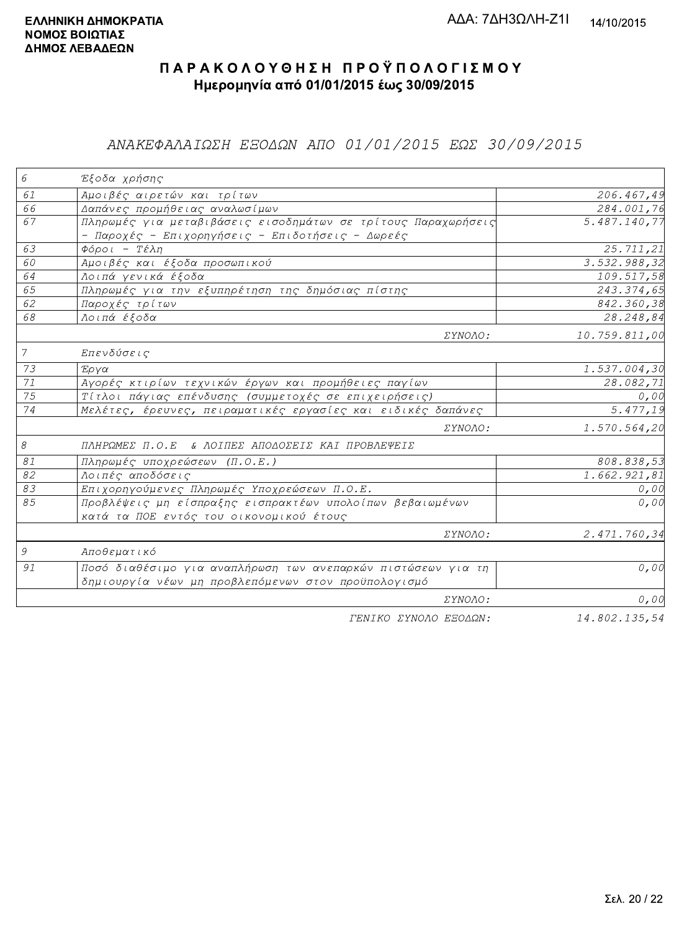### ΑΝΑΚΕΦΑΛΑΙΩΣΗ ΕΞΟΔΩΝ ΑΠΟ 01/01/2015 ΕΩΣ 30/09/2015

| 6             | Έξοδα χρήσης                                                  |                         |
|---------------|---------------------------------------------------------------|-------------------------|
| 61            | Αμοιβές αιρετών και τρίτων                                    | 206.467,49              |
| 66            | Δαπάνες προμήθειας αναλωσίμων                                 | 284.001,76              |
| 67            | Πληρωμές για μεταβιβάσεις εισοδημάτων σε τρίτους Παραχωρήσεις | 5.487.140,77            |
|               | - Παροχές - Επιχορηγήσεις - Επιδοτήσεις - Δωρεές              |                         |
| 63            | $\Phi$ όροι - Τέλη                                            | 25.711,21               |
| 60            | Αμοιβές και έξοδα προσωπικού                                  | 3.532.988,32            |
| 64            | Λοιπά γενικά έξοδα                                            | 109.517,58              |
| 65            | Πληρωμές για την εξυπηρέτηση της δημόσιας πίστης              | 243.374,65              |
| 62            | Παροχές τρίτων                                                | 842.360,38              |
| 68            | Λοιπά έξοδα                                                   | 28.248,84               |
|               | ΣΥΝΟΛΟ:                                                       | 10.759.811,00           |
| $\mathcal{I}$ | Επενδύσεις                                                    |                         |
| 73            | Έργα                                                          | 1.537.004,30            |
| 71            | Αγορές κτιρίων τεχνικών έργων και προμήθειες παγίων           | $\overline{28.082, 71}$ |
| 75            | Τίτλοι πάγιας επένδυσης (συμμετοχές σε επιχειρήσεις)          | 0,00                    |
| 74            | Μελέτες, έρευνες, πειραματικές εργασίες και ειδικές δαπάνες   | 5.477,19                |
|               | ΣΥΝΟΛΟ:                                                       | 1.570.564,20            |
| 8             | ΠΛΗΡΩΜΕΣ Π.Ο.Ε & ΛΟΙΠΕΣ ΑΠΟΔΟΣΕΙΣ ΚΑΙ ΠΡΟΒΛΕΨΕΙΣ              |                         |
| 81            | Πληρωμές υποχρεώσεων (Π.Ο.Ε.)                                 | 808.838,53              |
| 82            | Λοιπές αποδόσεις                                              | 1.662.921,81            |
| 83            | Επιχορηγούμενες Πληρωμές Υποχρεώσεων Π.Ο.Ε.                   | 0,00                    |
| 85            | Προβλέψεις μη είσπραξης εισπρακτέων υπολοίπων βεβαιωμένων     | 0,00                    |
|               | κατά τα ΠΟΕ εντός του οικονομικού έτους                       |                         |
|               | ΣΥΝΟΛΟ:                                                       | 2.471.760,34            |
| 9             | Αποθεματικό                                                   |                         |
| 91            | Ποσό διαθέσιμο για αναπλήρωση των ανεπαρκών πιστώσεων για τη  | 0,00                    |
|               | δημιουργία νέων μη προβλεπόμενων στον προϋπολογισμό           |                         |
|               | ΣΥΝΟΛΟ:                                                       | 0,00                    |
|               | FENIKO XYNOAO ESOAON:                                         | 14,802,135,54           |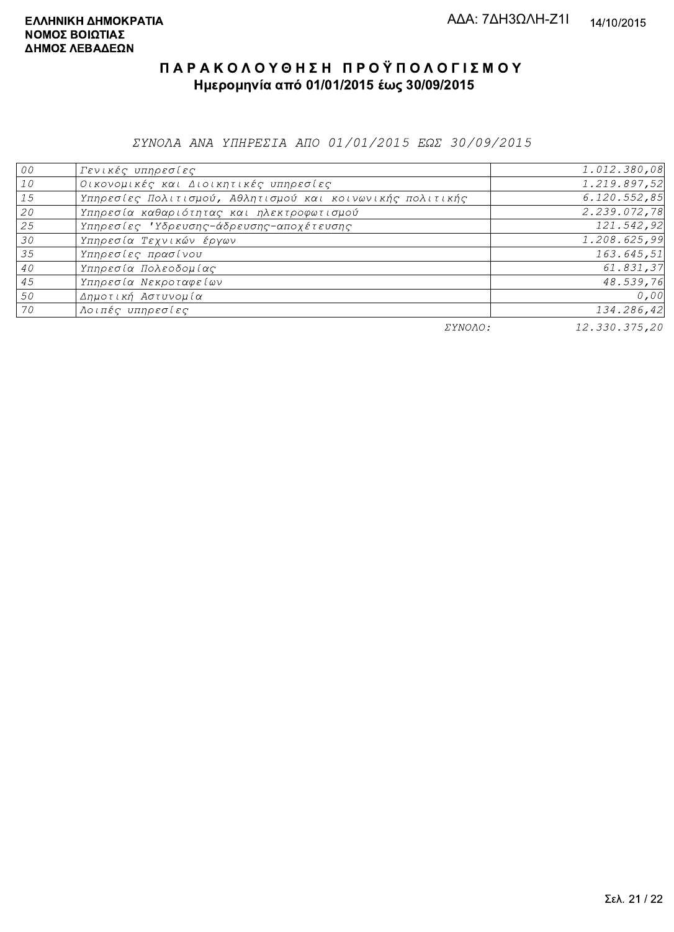ΣΥΝΟΛΑ ΑΝΑ ΥΠΗΡΕΣΙΑ ΑΠΟ 01/01/2015 ΕΩΣ 30/09/2015

| 00              | Γενικές υπηρεσίες                                         | 1.012.380,08  |
|-----------------|-----------------------------------------------------------|---------------|
| 10              | Οικονομικές και Διοικητικές υπηρεσίες                     | 1.219.897,52  |
| 15              | Υπηρεσίες Πολιτισμού, Αθλητισμού και κοινωνικής πολιτικής | 6.120.552,85  |
| 20              | Υπηρεσία καθαριότητας και ηλεκτροφωτισμού                 | 2.239.072,78  |
| 25              | Υπηρεσίες 'Υδρευσης-άδρευσης-αποχέτευσης                  | 121.542,92    |
| 30 <sup>°</sup> | Υπηρεσία Τεχνικών έργων                                   | 1.208.625,99  |
| 35              | Υπηρεσίες πρασίνου                                        | 163.645,51    |
| 40              | Υπηρεσία Πολεοδομίας                                      | 61.831,37     |
| 45              | Υπηρεσία Νεκροταφείων                                     | 48.539,76     |
| 50              | Δημοτική Αστυνομία                                        | 0,00          |
| 70              | Λοιπές υπηρεσίες                                          | 134.286,42    |
|                 | ΣΥΝΟΛΟ:                                                   | 12.330.375,20 |